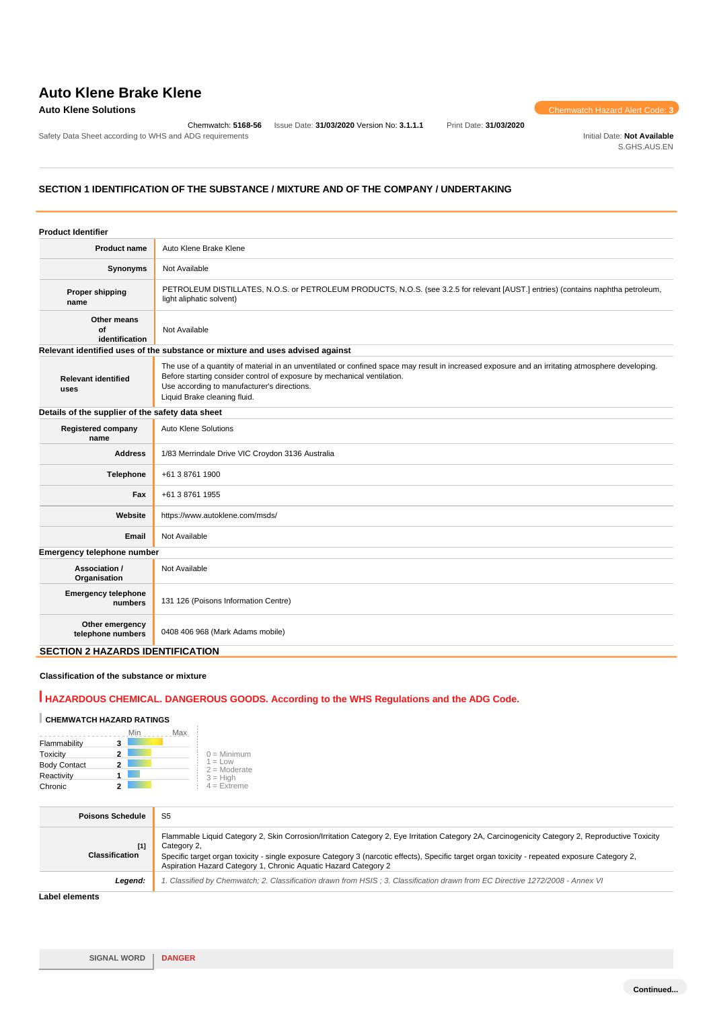# **Auto Klene Brake Klene**

Chemwatch: **5168-56** Issue Date: **31/03/2020** Version No: **3.1.1.1** Print Date: **31/03/2020**

**Auto Klene Solutions** Chemwatch Hazard Alert Code: **3** 

Safety Data Sheet according to WHS and ADG requirements **Initial Date:** Not Available S.GHS.AUS.EN

# **SECTION 1 IDENTIFICATION OF THE SUBSTANCE / MIXTURE AND OF THE COMPANY / UNDERTAKING**

| <b>Product Identifier</b>                        |                                                                                                                                                                                                                                                                                                            |
|--------------------------------------------------|------------------------------------------------------------------------------------------------------------------------------------------------------------------------------------------------------------------------------------------------------------------------------------------------------------|
| <b>Product name</b>                              | Auto Klene Brake Klene                                                                                                                                                                                                                                                                                     |
| Synonyms                                         | Not Available                                                                                                                                                                                                                                                                                              |
| <b>Proper shipping</b><br>name                   | PETROLEUM DISTILLATES, N.O.S. or PETROLEUM PRODUCTS, N.O.S. (see 3.2.5 for relevant [AUST.] entries) (contains naphtha petroleum,<br>light aliphatic solvent)                                                                                                                                              |
| Other means<br>Οf<br>identification              | Not Available                                                                                                                                                                                                                                                                                              |
|                                                  | Relevant identified uses of the substance or mixture and uses advised against                                                                                                                                                                                                                              |
| <b>Relevant identified</b><br>uses               | The use of a quantity of material in an unventilated or confined space may result in increased exposure and an irritating atmosphere developing.<br>Before starting consider control of exposure by mechanical ventilation.<br>Use according to manufacturer's directions.<br>Liquid Brake cleaning fluid. |
| Details of the supplier of the safety data sheet |                                                                                                                                                                                                                                                                                                            |
| <b>Registered company</b><br>name                | <b>Auto Klene Solutions</b>                                                                                                                                                                                                                                                                                |
| <b>Address</b>                                   | 1/83 Merrindale Drive VIC Croydon 3136 Australia                                                                                                                                                                                                                                                           |
| Telephone                                        | +61 3 8761 1900                                                                                                                                                                                                                                                                                            |
| Fax                                              | +61 3 8761 1955                                                                                                                                                                                                                                                                                            |
| Website                                          | https://www.autoklene.com/msds/                                                                                                                                                                                                                                                                            |
| Email                                            | Not Available                                                                                                                                                                                                                                                                                              |
| Emergency telephone number                       |                                                                                                                                                                                                                                                                                                            |
| Association /<br>Organisation                    | Not Available                                                                                                                                                                                                                                                                                              |
| <b>Emergency telephone</b><br>numbers            | 131 126 (Poisons Information Centre)                                                                                                                                                                                                                                                                       |
| Other emergency<br>telephone numbers             | 0408 406 968 (Mark Adams mobile)                                                                                                                                                                                                                                                                           |
| <b>SECTION 2 HAZARDS IDENTIFICATION</b>          |                                                                                                                                                                                                                                                                                                            |

## **Classification of the substance or mixture**

# **HAZARDOUS CHEMICAL. DANGEROUS GOODS. According to the WHS Regulations and the ADG Code.**

# **CHEMWATCH HAZARD RATINGS**

|                     |   | Max |                             |
|---------------------|---|-----|-----------------------------|
| Flammability        | 3 |     |                             |
| Toxicity            | 2 |     | $0 =$ Minimum               |
| <b>Body Contact</b> | 2 |     | $1 = Low$<br>$2 =$ Moderate |
| Reactivity          |   |     | $3 = H$ iah                 |
| Chronic             |   |     | $4 =$ Extreme               |

 $\bar{z}$ 

| <b>Poisons Schedule</b>        | S <sub>5</sub>                                                                                                                                                                                                                                                                                                                                                                       |
|--------------------------------|--------------------------------------------------------------------------------------------------------------------------------------------------------------------------------------------------------------------------------------------------------------------------------------------------------------------------------------------------------------------------------------|
| $[1]$<br><b>Classification</b> | Flammable Liquid Category 2, Skin Corrosion/Irritation Category 2, Eye Irritation Category 2A, Carcinogenicity Category 2, Reproductive Toxicity<br>Category 2.<br>Specific target organ toxicity - single exposure Category 3 (narcotic effects), Specific target organ toxicity - repeated exposure Category 2,<br>Aspiration Hazard Category 1, Chronic Aquatic Hazard Category 2 |
| Legend:                        | 1. Classified by Chemwatch; 2. Classification drawn from HSIS ; 3. Classification drawn from EC Directive 1272/2008 - Annex VI                                                                                                                                                                                                                                                       |
| .                              |                                                                                                                                                                                                                                                                                                                                                                                      |

**Label elements**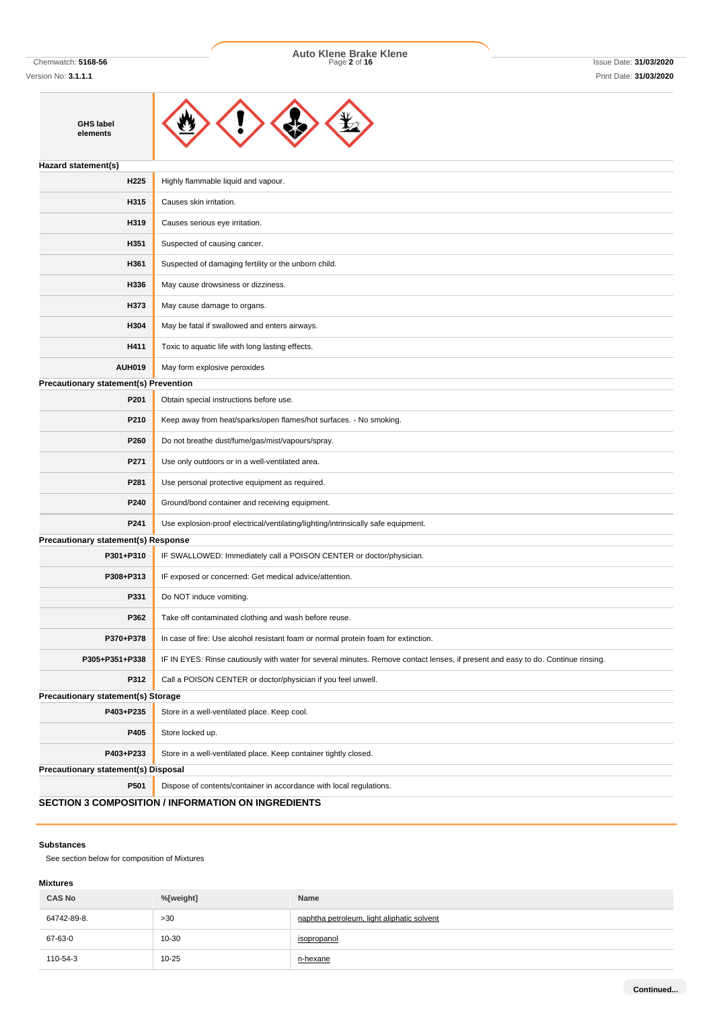**GHS label elements**

Chemwatch: **5168-56** Page **2** of **16** Issue Date: **31/03/2020 Auto Klene Brake Klene**



| Hazard statement(s)                          |                                                                                                                                  |  |  |
|----------------------------------------------|----------------------------------------------------------------------------------------------------------------------------------|--|--|
| H225                                         | Highly flammable liquid and vapour.                                                                                              |  |  |
| H315                                         | Causes skin irritation.                                                                                                          |  |  |
| H319                                         | Causes serious eye irritation.                                                                                                   |  |  |
| H351                                         | Suspected of causing cancer.                                                                                                     |  |  |
| H361                                         | Suspected of damaging fertility or the unborn child.                                                                             |  |  |
| H336                                         | May cause drowsiness or dizziness.                                                                                               |  |  |
| H373                                         | May cause damage to organs.                                                                                                      |  |  |
| H304                                         | May be fatal if swallowed and enters airways.                                                                                    |  |  |
| H411                                         | Toxic to aquatic life with long lasting effects.                                                                                 |  |  |
| <b>AUH019</b>                                | May form explosive peroxides                                                                                                     |  |  |
| <b>Precautionary statement(s) Prevention</b> |                                                                                                                                  |  |  |
| P201                                         | Obtain special instructions before use.                                                                                          |  |  |
| P210                                         | Keep away from heat/sparks/open flames/hot surfaces. - No smoking.                                                               |  |  |
| P260                                         | Do not breathe dust/fume/gas/mist/vapours/spray.                                                                                 |  |  |
| P271                                         | Use only outdoors or in a well-ventilated area.                                                                                  |  |  |
| P281                                         | Use personal protective equipment as required.                                                                                   |  |  |
| P240                                         | Ground/bond container and receiving equipment.                                                                                   |  |  |
| P241                                         | Use explosion-proof electrical/ventilating/lighting/intrinsically safe equipment.                                                |  |  |
| <b>Precautionary statement(s) Response</b>   |                                                                                                                                  |  |  |
| P301+P310                                    | IF SWALLOWED: Immediately call a POISON CENTER or doctor/physician.                                                              |  |  |
| P308+P313                                    | IF exposed or concerned: Get medical advice/attention.                                                                           |  |  |
| P331                                         | Do NOT induce vomiting.                                                                                                          |  |  |
| P362                                         | Take off contaminated clothing and wash before reuse.                                                                            |  |  |
| P370+P378                                    | In case of fire: Use alcohol resistant foam or normal protein foam for extinction.                                               |  |  |
| P305+P351+P338                               | IF IN EYES: Rinse cautiously with water for several minutes. Remove contact lenses, if present and easy to do. Continue rinsing. |  |  |
| P312                                         | Call a POISON CENTER or doctor/physician if you feel unwell.                                                                     |  |  |
| Precautionary statement(s) Storage           |                                                                                                                                  |  |  |
| P403+P235                                    | Store in a well-ventilated place. Keep cool.                                                                                     |  |  |
| P405                                         | Store locked up.                                                                                                                 |  |  |
| P403+P233                                    | Store in a well-ventilated place. Keep container tightly closed.                                                                 |  |  |
| <b>Precautionary statement(s) Disposal</b>   |                                                                                                                                  |  |  |
| P501                                         | Dispose of contents/container in accordance with local regulations.                                                              |  |  |
|                                              | <b>SECTION 3 COMPOSITION / INFORMATION ON INGREDIENTS</b>                                                                        |  |  |

# **Substances**

See section below for composition of Mixtures

# **Mixtures**

| <b>CAS No</b> | %[weight] | Name                                       |
|---------------|-----------|--------------------------------------------|
| 64742-89-8.   | >30       | naphtha petroleum, light aliphatic solvent |
| 67-63-0       | $10 - 30$ | isopropanol                                |
| 110-54-3      | 10-25     | n-hexane                                   |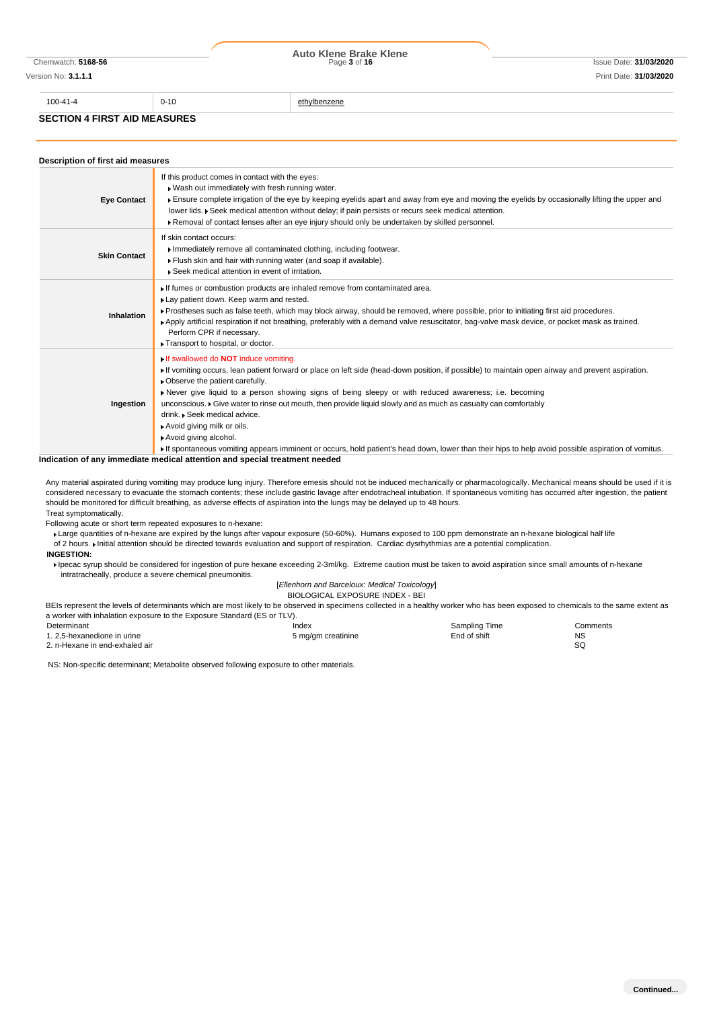|                                     | Page 3 of 16 | Issue Date: 31/03/2020 |  |
|-------------------------------------|--------------|------------------------|--|
|                                     |              | Print Date: 31/03/2020 |  |
| $0 - 10$                            | ethylbenzene |                        |  |
| <b>SECTION 4 FIRST AID MEASURES</b> |              |                        |  |
|                                     |              | Auto Klene Brake Klene |  |

| Description of first aid measures |                                                                                                                                                                                                                                                                                                                                                                                                                                                                                                                                                                                                                                                                                                              |  |  |  |
|-----------------------------------|--------------------------------------------------------------------------------------------------------------------------------------------------------------------------------------------------------------------------------------------------------------------------------------------------------------------------------------------------------------------------------------------------------------------------------------------------------------------------------------------------------------------------------------------------------------------------------------------------------------------------------------------------------------------------------------------------------------|--|--|--|
| <b>Eye Contact</b>                | If this product comes in contact with the eyes:<br>. Wash out immediately with fresh running water.<br>Ensure complete irrigation of the eye by keeping eyelids apart and away from eye and moving the eyelids by occasionally lifting the upper and<br>lower lids. ▶ Seek medical attention without delay; if pain persists or recurs seek medical attention.<br>Removal of contact lenses after an eye injury should only be undertaken by skilled personnel.                                                                                                                                                                                                                                              |  |  |  |
| <b>Skin Contact</b>               | If skin contact occurs:<br>Immediately remove all contaminated clothing, including footwear.<br>Flush skin and hair with running water (and soap if available).<br>Seek medical attention in event of irritation.                                                                                                                                                                                                                                                                                                                                                                                                                                                                                            |  |  |  |
| Inhalation                        | If fumes or combustion products are inhaled remove from contaminated area.<br>Lay patient down. Keep warm and rested.<br>Prostheses such as false teeth, which may block airway, should be removed, where possible, prior to initiating first aid procedures.<br>Apply artificial respiration if not breathing, preferably with a demand valve resuscitator, bag-valve mask device, or pocket mask as trained.<br>Perform CPR if necessary.<br>Transport to hospital, or doctor.                                                                                                                                                                                                                             |  |  |  |
| Ingestion                         | If swallowed do <b>NOT</b> induce vomiting.<br>If vomiting occurs, lean patient forward or place on left side (head-down position, if possible) to maintain open airway and prevent aspiration.<br>• Observe the patient carefully.<br>Never give liquid to a person showing signs of being sleepy or with reduced awareness; i.e. becoming<br>unconscious. • Give water to rinse out mouth, then provide liquid slowly and as much as casualty can comfortably<br>drink. • Seek medical advice.<br>Avoid giving milk or oils.<br>Avoid giving alcohol.<br>If spontaneous vomiting appears imminent or occurs, hold patient's head down, lower than their hips to help avoid possible aspiration of vomitus. |  |  |  |

**Indication of any immediate medical attention and special treatment needed**

Any material aspirated during vomiting may produce lung injury. Therefore emesis should not be induced mechanically or pharmacologically. Mechanical means should be used if it is considered necessary to evacuate the stomach contents; these include gastric lavage after endotracheal intubation. If spontaneous vomiting has occurred after ingestion, the patient should be monitored for difficult breathing, as adverse effects of aspiration into the lungs may be delayed up to 48 hours. Treat symptomatically.

Following acute or short term repeated exposures to n-hexane:

Large quantities of n-hexane are expired by the lungs after vapour exposure (50-60%). Humans exposed to 100 ppm demonstrate an n-hexane biological half life of 2 hours. Initial attention should be directed towards evaluation and support of respiration. Cardiac dysrhythmias are a potential complication.

## **INGESTION:**

Ipecac syrup should be considered for ingestion of pure hexane exceeding 2-3ml/kg. Extreme caution must be taken to avoid aspiration since small amounts of n-hexane intratracheally, produce a severe chemical pneumonitis.

# [*Ellenhorn and Barceloux: Medical Toxicology*]

BIOLOGICAL EXPOSURE INDEX - BEI

BEIs represent the levels of determinants which are most likely to be observed in specimens collected in a healthy worker who has been exposed to chemicals to the same extent as a worker with inhalation exposure to the Exposure Standard (ES or TLV).

| Determinant                    | Index              | Sampling Time | Comments  |
|--------------------------------|--------------------|---------------|-----------|
| 1. 2.5-hexanedione in urine    | 5 mg/gm creatinine | End of shift  | <b>NS</b> |
| 2. n-Hexane in end-exhaled air |                    |               | SC        |

NS: Non-specific determinant; Metabolite observed following exposure to other materials.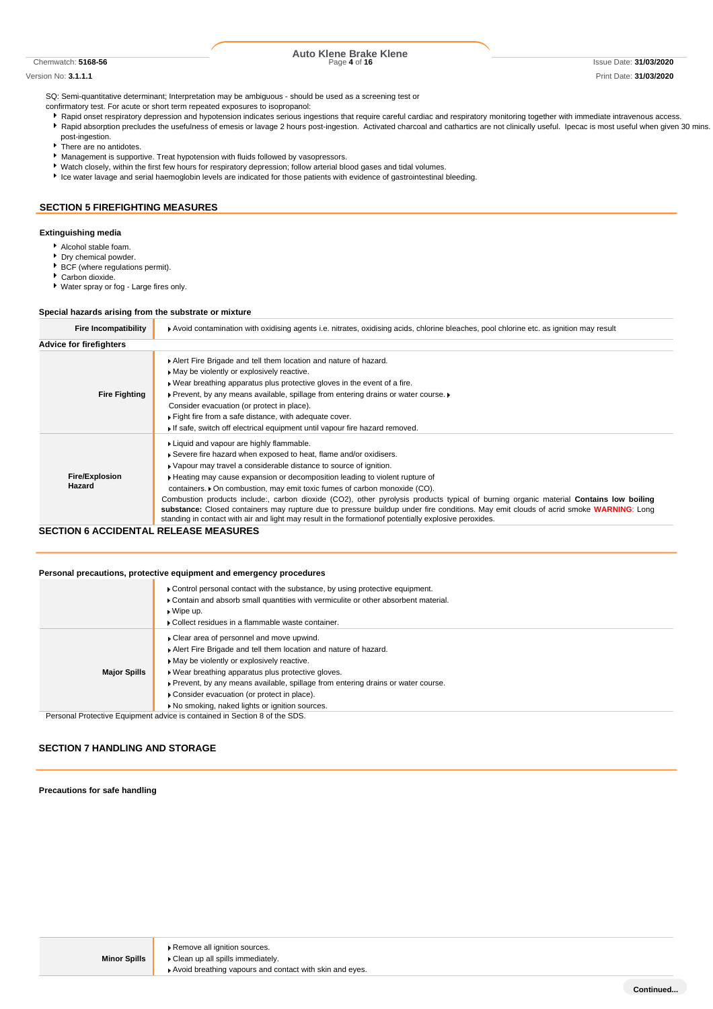#### Version No: **3.1.1.1** Print Date: **31/03/2020**

# Chemwatch: **5168-56** Page **4** of **16** Issue Date: **31/03/2020 Auto Klene Brake Klene**

SQ: Semi-quantitative determinant; Interpretation may be ambiguous - should be used as a screening test or

confirmatory test. For acute or short term repeated exposures to isopropanol:

- Rapid onset respiratory depression and hypotension indicates serious ingestions that require careful cardiac and respiratory monitoring together with immediate intravenous access.
- A Rapid absorption precludes the usefulness of emesis or lavage 2 hours post-ingestion. Activated charcoal and cathartics are not clinically useful. Ipecac is most useful when given 30 mins. post-ingestion.
- There are no antidotes.
- **Management is supportive. Treat hypotension with fluids followed by vasopressors.**
- Watch closely, within the first few hours for respiratory depression; follow arterial blood gases and tidal volumes.
- Ice water lavage and serial haemoglobin levels are indicated for those patients with evidence of gastrointestinal bleeding.

## **SECTION 5 FIREFIGHTING MEASURES**

# **Extinguishing media**

- Alcohol stable foam.
- Dry chemical powder.
- BCF (where regulations permit).
- Carbon dioxide.

Water spray or fog - Large fires only.

### **Special hazards arising from the substrate or mixture**

| <b>Fire Incompatibility</b>     | Avoid contamination with oxidising agents i.e. nitrates, oxidising acids, chlorine bleaches, pool chlorine etc. as ignition may result                                                                                                                                                                                                                                                                                                                                                                                                                                                                                                                                                                                                     |  |  |
|---------------------------------|--------------------------------------------------------------------------------------------------------------------------------------------------------------------------------------------------------------------------------------------------------------------------------------------------------------------------------------------------------------------------------------------------------------------------------------------------------------------------------------------------------------------------------------------------------------------------------------------------------------------------------------------------------------------------------------------------------------------------------------------|--|--|
| <b>Advice for firefighters</b>  |                                                                                                                                                                                                                                                                                                                                                                                                                                                                                                                                                                                                                                                                                                                                            |  |  |
| <b>Fire Fighting</b>            | Alert Fire Brigade and tell them location and nature of hazard.<br>May be violently or explosively reactive.<br>. Wear breathing apparatus plus protective gloves in the event of a fire.<br>▶ Prevent, by any means available, spillage from entering drains or water course. ▶<br>Consider evacuation (or protect in place).<br>Fight fire from a safe distance, with adequate cover.<br>If safe, switch off electrical equipment until vapour fire hazard removed.                                                                                                                                                                                                                                                                      |  |  |
| <b>Fire/Explosion</b><br>Hazard | Liquid and vapour are highly flammable.<br>Severe fire hazard when exposed to heat, flame and/or oxidisers.<br>• Vapour may travel a considerable distance to source of ignition.<br>► Heating may cause expansion or decomposition leading to violent rupture of<br>containers. • On combustion, may emit toxic fumes of carbon monoxide (CO).<br>Combustion products include:, carbon dioxide (CO2), other pyrolysis products typical of burning organic material Contains low boiling<br>substance: Closed containers may rupture due to pressure buildup under fire conditions. May emit clouds of acrid smoke WARNING: Long<br>standing in contact with air and light may result in the formation of potentially explosive peroxides. |  |  |

## **SECTION 6 ACCIDENTAL RELEASE MEASURES**

### **Personal precautions, protective equipment and emergency procedures**

| ▶ Contain and absorb small quantities with vermiculite or other absorbent material.<br>$\bullet$ Wipe up.<br>▶ Collect residues in a flammable waste container.                                                                                                                                                                                                                                                               |
|-------------------------------------------------------------------------------------------------------------------------------------------------------------------------------------------------------------------------------------------------------------------------------------------------------------------------------------------------------------------------------------------------------------------------------|
| • Clear area of personnel and move upwind.<br>Alert Fire Brigade and tell them location and nature of hazard.<br>• May be violently or explosively reactive.<br><b>Major Spills</b><br>▶ Wear breathing apparatus plus protective gloves.<br>▶ Prevent, by any means available, spillage from entering drains or water course.<br>Consider evacuation (or protect in place).<br>No smoking, naked lights or ignition sources. |

Personal Protective Equipment advice is contained in Section 8 of the SDS.

## **SECTION 7 HANDLING AND STORAGE**

### **Precautions for safe handling**

**Minor Spills**

Avoid breathing vapours and contact with skin and eyes.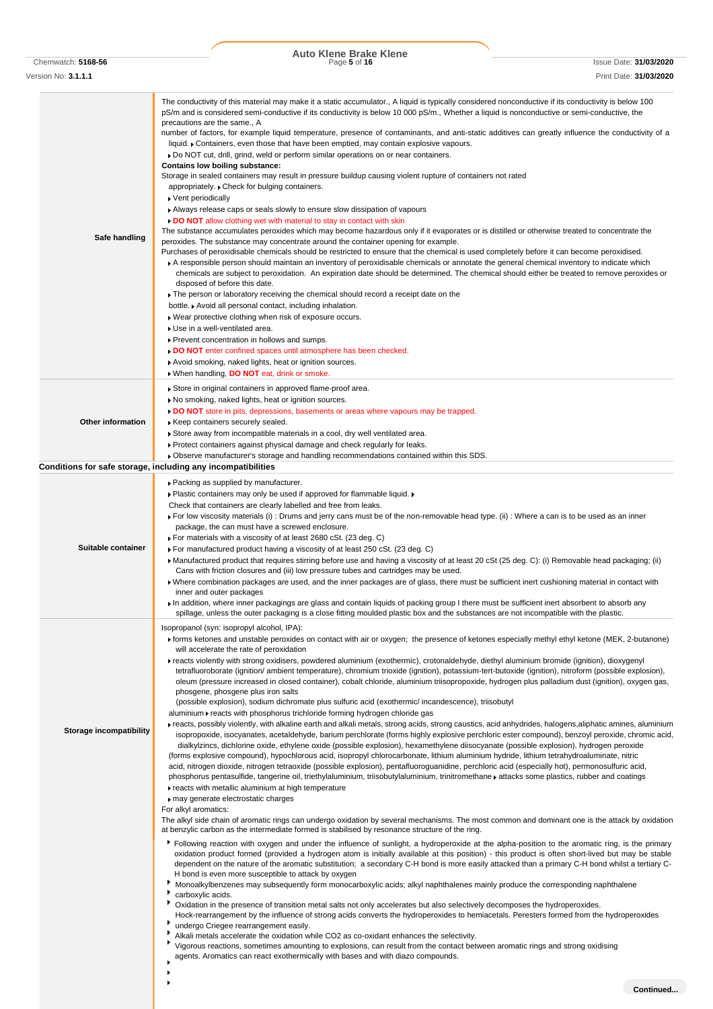Chemwatch: **5168-56** Page **5** of **16** Issue Date: **31/03/2020 Auto Klene Brake Klene**

| Version No: <b>3.1.1.1</b>     | Print Date: 31/03/2020                                                                                                                                                                                                                                                                                                                                                                                                                                                                                                                                                                                                                                                                                                                                                                                                                                                                                                                                                                                                                                                                                                                                                                                                                                                                                                                                                                                                                                                                                                                                                                                                                                                                                                                                                                                                                                                                                                                                                                                                                                                                                                                                                                                                                                                                                                                                                                                                                                                                                                                                                                                                                                                                                                                                                                                                                                                                                                                                                                                                                                                                                                                                                                                                                                                                                                                                                                                                                                                                                                       |
|--------------------------------|------------------------------------------------------------------------------------------------------------------------------------------------------------------------------------------------------------------------------------------------------------------------------------------------------------------------------------------------------------------------------------------------------------------------------------------------------------------------------------------------------------------------------------------------------------------------------------------------------------------------------------------------------------------------------------------------------------------------------------------------------------------------------------------------------------------------------------------------------------------------------------------------------------------------------------------------------------------------------------------------------------------------------------------------------------------------------------------------------------------------------------------------------------------------------------------------------------------------------------------------------------------------------------------------------------------------------------------------------------------------------------------------------------------------------------------------------------------------------------------------------------------------------------------------------------------------------------------------------------------------------------------------------------------------------------------------------------------------------------------------------------------------------------------------------------------------------------------------------------------------------------------------------------------------------------------------------------------------------------------------------------------------------------------------------------------------------------------------------------------------------------------------------------------------------------------------------------------------------------------------------------------------------------------------------------------------------------------------------------------------------------------------------------------------------------------------------------------------------------------------------------------------------------------------------------------------------------------------------------------------------------------------------------------------------------------------------------------------------------------------------------------------------------------------------------------------------------------------------------------------------------------------------------------------------------------------------------------------------------------------------------------------------------------------------------------------------------------------------------------------------------------------------------------------------------------------------------------------------------------------------------------------------------------------------------------------------------------------------------------------------------------------------------------------------------------------------------------------------------------------------------------------------|
| Safe handling                  | The conductivity of this material may make it a static accumulator., A liquid is typically considered nonconductive if its conductivity is below 100<br>pS/m and is considered semi-conductive if its conductivity is below 10 000 pS/m., Whether a liquid is nonconductive or semi-conductive, the<br>precautions are the same., A<br>number of factors, for example liquid temperature, presence of contaminants, and anti-static additives can greatly influence the conductivity of a<br>liquid. • Containers, even those that have been emptied, may contain explosive vapours.<br>▶ Do NOT cut, drill, grind, weld or perform similar operations on or near containers.<br>Contains low boiling substance:<br>Storage in sealed containers may result in pressure buildup causing violent rupture of containers not rated<br>appropriately. ▶ Check for bulging containers.<br>▶ Vent periodically<br>Always release caps or seals slowly to ensure slow dissipation of vapours<br>DO NOT allow clothing wet with material to stay in contact with skin<br>The substance accumulates peroxides which may become hazardous only if it evaporates or is distilled or otherwise treated to concentrate the<br>peroxides. The substance may concentrate around the container opening for example.<br>Purchases of peroxidisable chemicals should be restricted to ensure that the chemical is used completely before it can become peroxidised.<br>A responsible person should maintain an inventory of peroxidisable chemicals or annotate the general chemical inventory to indicate which<br>chemicals are subject to peroxidation. An expiration date should be determined. The chemical should either be treated to remove peroxides or<br>disposed of before this date.<br>The person or laboratory receiving the chemical should record a receipt date on the<br>bottle. Avoid all personal contact, including inhalation.<br>Wear protective clothing when risk of exposure occurs.<br>Use in a well-ventilated area.<br>▶ Prevent concentration in hollows and sumps.<br>DO NOT enter confined spaces until atmosphere has been checked.                                                                                                                                                                                                                                                                                                                                                                                                                                                                                                                                                                                                                                                                                                                                                                                                                                                                                                                                                                                                                                                                                                                                                                                                                                                                                                                                                                          |
|                                |                                                                                                                                                                                                                                                                                                                                                                                                                                                                                                                                                                                                                                                                                                                                                                                                                                                                                                                                                                                                                                                                                                                                                                                                                                                                                                                                                                                                                                                                                                                                                                                                                                                                                                                                                                                                                                                                                                                                                                                                                                                                                                                                                                                                                                                                                                                                                                                                                                                                                                                                                                                                                                                                                                                                                                                                                                                                                                                                                                                                                                                                                                                                                                                                                                                                                                                                                                                                                                                                                                                              |
|                                | Avoid smoking, naked lights, heat or ignition sources.                                                                                                                                                                                                                                                                                                                                                                                                                                                                                                                                                                                                                                                                                                                                                                                                                                                                                                                                                                                                                                                                                                                                                                                                                                                                                                                                                                                                                                                                                                                                                                                                                                                                                                                                                                                                                                                                                                                                                                                                                                                                                                                                                                                                                                                                                                                                                                                                                                                                                                                                                                                                                                                                                                                                                                                                                                                                                                                                                                                                                                                                                                                                                                                                                                                                                                                                                                                                                                                                       |
| Other information              | When handling, DO NOT eat, drink or smoke.<br>Store in original containers in approved flame-proof area.<br>No smoking, naked lights, heat or ignition sources.<br>DO NOT store in pits, depressions, basements or areas where vapours may be trapped.<br>Keep containers securely sealed.<br>Store away from incompatible materials in a cool, dry well ventilated area.<br>▶ Protect containers against physical damage and check regularly for leaks.<br>▶ Observe manufacturer's storage and handling recommendations contained within this SDS.                                                                                                                                                                                                                                                                                                                                                                                                                                                                                                                                                                                                                                                                                                                                                                                                                                                                                                                                                                                                                                                                                                                                                                                                                                                                                                                                                                                                                                                                                                                                                                                                                                                                                                                                                                                                                                                                                                                                                                                                                                                                                                                                                                                                                                                                                                                                                                                                                                                                                                                                                                                                                                                                                                                                                                                                                                                                                                                                                                         |
|                                | Conditions for safe storage, including any incompatibilities                                                                                                                                                                                                                                                                                                                                                                                                                                                                                                                                                                                                                                                                                                                                                                                                                                                                                                                                                                                                                                                                                                                                                                                                                                                                                                                                                                                                                                                                                                                                                                                                                                                                                                                                                                                                                                                                                                                                                                                                                                                                                                                                                                                                                                                                                                                                                                                                                                                                                                                                                                                                                                                                                                                                                                                                                                                                                                                                                                                                                                                                                                                                                                                                                                                                                                                                                                                                                                                                 |
| Suitable container             | ▶ Packing as supplied by manufacturer.<br>• Plastic containers may only be used if approved for flammable liquid.<br>Check that containers are clearly labelled and free from leaks.<br>For low viscosity materials (i): Drums and jerry cans must be of the non-removable head type. (ii): Where a can is to be used as an inner<br>package, the can must have a screwed enclosure.<br>For materials with a viscosity of at least 2680 cSt. (23 deg. C)<br>For manufactured product having a viscosity of at least 250 cSt. (23 deg. C)<br>Manufactured product that requires stirring before use and having a viscosity of at least 20 cSt (25 deg. C): (i) Removable head packaging; (ii)<br>Cans with friction closures and (iii) low pressure tubes and cartridges may be used.<br>• Where combination packages are used, and the inner packages are of glass, there must be sufficient inert cushioning material in contact with<br>inner and outer packages<br>In addition, where inner packagings are glass and contain liquids of packing group I there must be sufficient inert absorbent to absorb any<br>spillage, unless the outer packaging is a close fitting moulded plastic box and the substances are not incompatible with the plastic.                                                                                                                                                                                                                                                                                                                                                                                                                                                                                                                                                                                                                                                                                                                                                                                                                                                                                                                                                                                                                                                                                                                                                                                                                                                                                                                                                                                                                                                                                                                                                                                                                                                                                                                                                                                                                                                                                                                                                                                                                                                                                                                                                                                                                                                                   |
| <b>Storage incompatibility</b> | Isopropanol (syn: isopropyl alcohol, IPA):<br>Forms ketones and unstable peroxides on contact with air or oxygen; the presence of ketones especially methyl ethyl ketone (MEK, 2-butanone)<br>will accelerate the rate of peroxidation<br>Freacts violently with strong oxidisers, powdered aluminium (exothermic), crotonaldehyde, diethyl aluminium bromide (ignition), dioxygenyl<br>tetrafluoroborate (ignition/ ambient temperature), chromium trioxide (ignition), potassium-tert-butoxide (ignition), nitroform (possible explosion),<br>oleum (pressure increased in closed container), cobalt chloride, aluminium triisopropoxide, hydrogen plus palladium dust (ignition), oxygen gas,<br>phosgene, phosgene plus iron salts<br>(possible explosion), sodium dichromate plus sulfuric acid (exothermic/ incandescence), triisobutyl<br>aluminium reacts with phosphorus trichloride forming hydrogen chloride gas<br>Freacts, possibly violently, with alkaline earth and alkali metals, strong acids, strong caustics, acid anhydrides, halogens, aliphatic amines, aluminium<br>isopropoxide, isocyanates, acetaldehyde, barium perchlorate (forms highly explosive perchloric ester compound), benzoyl peroxide, chromic acid,<br>dialkylzincs, dichlorine oxide, ethylene oxide (possible explosion), hexamethylene diisocyanate (possible explosion), hydrogen peroxide<br>(forms explosive compound), hypochlorous acid, isopropyl chlorocarbonate, lithium aluminium hydride, lithium tetrahydroaluminate, nitric<br>acid, nitrogen dioxide, nitrogen tetraoxide (possible explosion), pentafluoroguanidine, perchloric acid (especially hot), permonosulfuric acid,<br>phosphorus pentasulfide, tangerine oil, triethylaluminium, triisobutylaluminium, trinitromethane rattacks some plastics, rubber and coatings<br>reacts with metallic aluminium at high temperature<br>may generate electrostatic charges<br>For alkyl aromatics:<br>The alkyl side chain of aromatic rings can undergo oxidation by several mechanisms. The most common and dominant one is the attack by oxidation<br>at benzylic carbon as the intermediate formed is stabilised by resonance structure of the ring.<br>Following reaction with oxygen and under the influence of sunlight, a hydroperoxide at the alpha-position to the aromatic ring, is the primary<br>oxidation product formed (provided a hydrogen atom is initially available at this position) - this product is often short-lived but may be stable<br>dependent on the nature of the aromatic substitution; a secondary C-H bond is more easily attacked than a primary C-H bond whilst a tertiary C-<br>H bond is even more susceptible to attack by oxygen<br>Monoalkylbenzenes may subsequently form monocarboxylic acids; alkyl naphthalenes mainly produce the corresponding naphthalene<br>carboxylic acids.<br>Oxidation in the presence of transition metal salts not only accelerates but also selectively decomposes the hydroperoxides.<br>Hock-rearrangement by the influence of strong acids converts the hydroperoxides to hemiacetals. Peresters formed from the hydroperoxides<br>undergo Criegee rearrangement easily.<br>Alkali metals accelerate the oxidation while CO2 as co-oxidant enhances the selectivity.<br>Vigorous reactions, sometimes amounting to explosions, can result from the contact between aromatic rings and strong oxidising<br>agents. Aromatics can react exothermically with bases and with diazo compounds. |
|                                | Continued                                                                                                                                                                                                                                                                                                                                                                                                                                                                                                                                                                                                                                                                                                                                                                                                                                                                                                                                                                                                                                                                                                                                                                                                                                                                                                                                                                                                                                                                                                                                                                                                                                                                                                                                                                                                                                                                                                                                                                                                                                                                                                                                                                                                                                                                                                                                                                                                                                                                                                                                                                                                                                                                                                                                                                                                                                                                                                                                                                                                                                                                                                                                                                                                                                                                                                                                                                                                                                                                                                                    |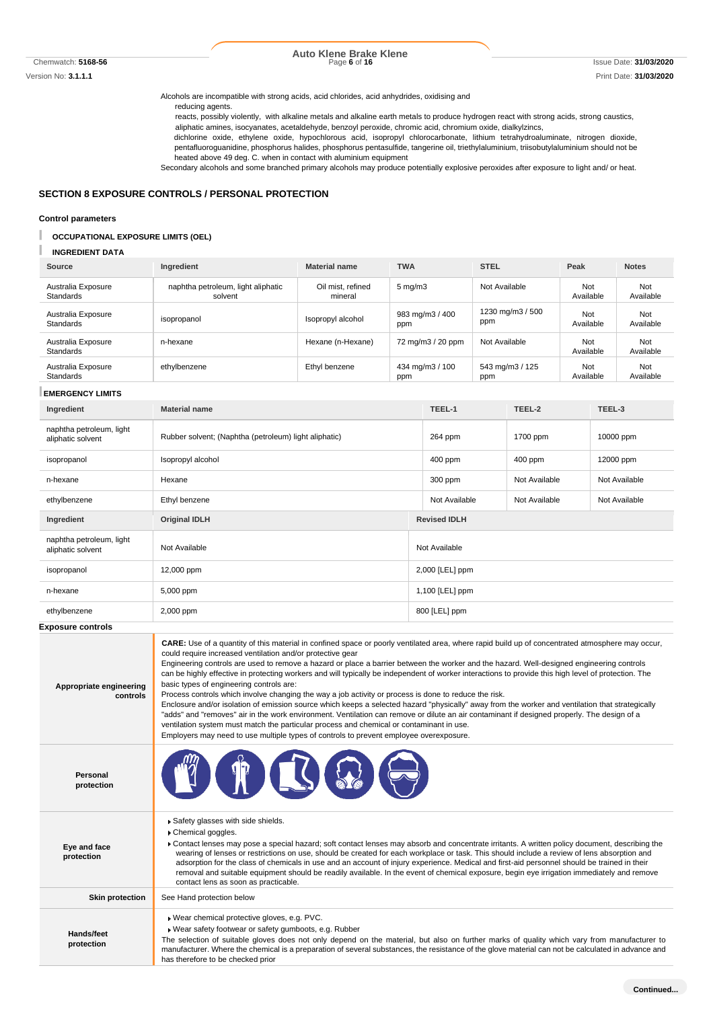# **Auto Klene Brake Klene**

Alcohols are incompatible with strong acids, acid chlorides, acid anhydrides, oxidising and

reducing agents.

reacts, possibly violently, with alkaline metals and alkaline earth metals to produce hydrogen react with strong acids, strong caustics, aliphatic amines, isocyanates, acetaldehyde, benzoyl peroxide, chromic acid, chromium oxide, dialkylzincs,

dichlorine oxide, ethylene oxide, hypochlorous acid, isopropyl chlorocarbonate, lithium tetrahydroaluminate, nitrogen dioxide, pentafluoroguanidine, phosphorus halides, phosphorus pentasulfide, tangerine oil, triethylaluminium, triisobutylaluminium should not be heated above 49 deg. C. when in contact with aluminium equipment

Secondary alcohols and some branched primary alcohols may produce potentially explosive peroxides after exposure to light and/ or heat.

## **SECTION 8 EXPOSURE CONTROLS / PERSONAL PROTECTION**

### **Control parameters**

## **OCCUPATIONAL EXPOSURE LIMITS (OEL)**

#### **INGREDIENT DATA**

| Source                                 | Ingredient                                    | <b>Material name</b>         | <b>TWA</b>             | <b>STEL</b>             | Peak             | <b>Notes</b>     |
|----------------------------------------|-----------------------------------------------|------------------------------|------------------------|-------------------------|------------------|------------------|
| Australia Exposure<br><b>Standards</b> | naphtha petroleum, light aliphatic<br>solvent | Oil mist, refined<br>mineral | $5 \text{ mg/m}$       | Not Available           | Not<br>Available | Not<br>Available |
| Australia Exposure<br><b>Standards</b> | isopropanol                                   | Isopropyl alcohol            | 983 mg/m3 / 400<br>ppm | 1230 mg/m3 / 500<br>ppm | Not<br>Available | Not<br>Available |
| Australia Exposure<br><b>Standards</b> | n-hexane                                      | Hexane (n-Hexane)            | 72 mg/m3 / 20 ppm      | Not Available           | Not<br>Available | Not<br>Available |
| Australia Exposure<br><b>Standards</b> | ethylbenzene                                  | Ethyl benzene                | 434 mg/m3 / 100<br>ppm | 543 mg/m3 / 125<br>ppm  | Not<br>Available | Not<br>Available |

#### **EMERGENCY LIMITS**

| Ingredient                                    | <b>Material name</b>                                  |                 | TEEL-1              | TEEL-2        | TEEL-3        |
|-----------------------------------------------|-------------------------------------------------------|-----------------|---------------------|---------------|---------------|
| naphtha petroleum, light<br>aliphatic solvent | Rubber solvent; (Naphtha (petroleum) light aliphatic) |                 | 264 ppm             | 1700 ppm      | 10000 ppm     |
| isopropanol                                   | Isopropyl alcohol                                     |                 | 400 ppm             | 400 ppm       | 12000 ppm     |
| n-hexane                                      | Hexane                                                |                 | 300 ppm             | Not Available | Not Available |
| ethylbenzene                                  | Ethyl benzene                                         |                 | Not Available       | Not Available | Not Available |
| Ingredient                                    | <b>Original IDLH</b>                                  |                 | <b>Revised IDLH</b> |               |               |
| naphtha petroleum, light<br>aliphatic solvent | Not Available                                         |                 | Not Available       |               |               |
| isopropanol                                   | 12,000 ppm                                            |                 | 2,000 [LEL] ppm     |               |               |
| n-hexane                                      | 5,000 ppm                                             | 1,100 [LEL] ppm |                     |               |               |
| ethylbenzene                                  | 2,000 ppm                                             |                 | 800 [LEL] ppm       |               |               |
| <b>Exposure controls</b>                      |                                                       |                 |                     |               |               |

**Appropriate engineering controls CARE:** Use of a quantity of this material in confined space or poorly ventilated area, where rapid build up of concentrated atmosphere may occur, could require increased ventilation and/or protective gear Engineering controls are used to remove a hazard or place a barrier between the worker and the hazard. Well-designed engineering controls can be highly effective in protecting workers and will typically be independent of worker interactions to provide this high level of protection. The basic types of engineering controls are: Process controls which involve changing the way a job activity or process is done to reduce the risk. Enclosure and/or isolation of emission source which keeps a selected hazard "physically" away from the worker and ventilation that strategically "adds" and "removes" air in the work environment. Ventilation can remove or dilute an air contaminant if designed properly. The design of a ventilation system must match the particular process and chemical or contaminant in use. Employers may need to use multiple types of controls to prevent employee overexposure. **Personal protection Eye and face protection** Safety glasses with side shields. Chemical goggles. Contact lenses may pose a special hazard; soft contact lenses may absorb and concentrate irritants. A written policy document, describing the wearing of lenses or restrictions on use, should be created for each workplace or task. This should include a review of lens absorption and adsorption for the class of chemicals in use and an account of injury experience. Medical and first-aid personnel should be trained in their removal and suitable equipment should be readily available. In the event of chemical exposure, begin eye irrigation immediately and remove contact lens as soon as practicable. **Skin protection** See Hand protection below **Hands/feet protection** Wear chemical protective gloves, e.g. PVC. Wear safety footwear or safety gumboots, e.g. Rubber The selection of suitable gloves does not only depend on the material, but also on further marks of quality which vary from manufacturer to manufacturer. Where the chemical is a preparation of several substances, the resistance of the glove material can not be calculated in advance and has therefore to be checked prior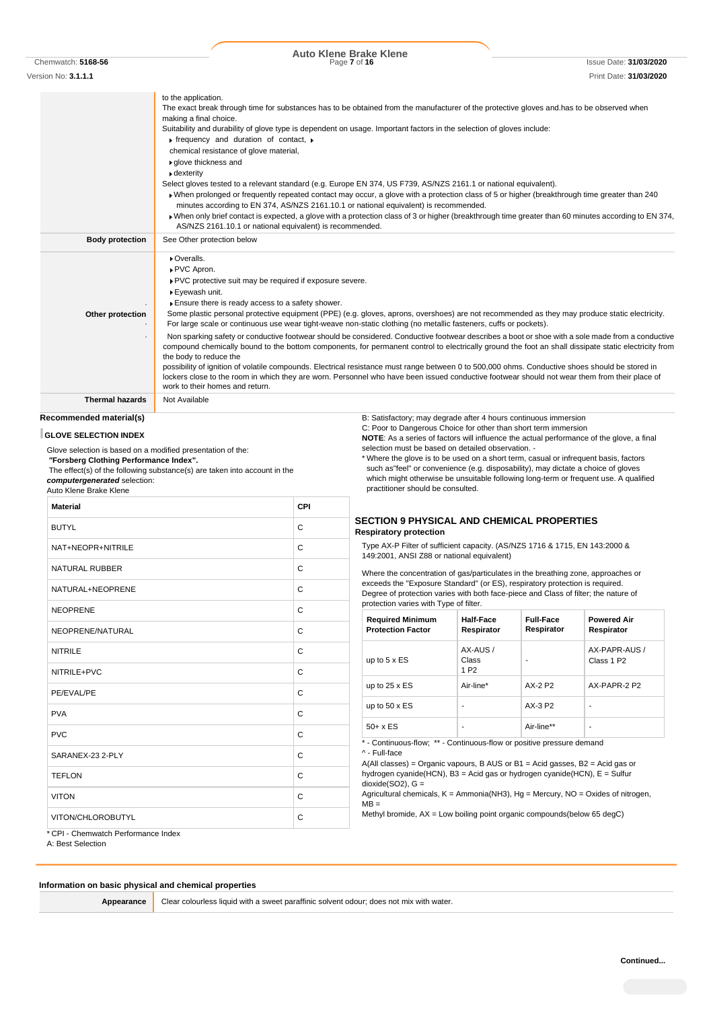| Chemwatch: 5168-56 |  |
|--------------------|--|
|                    |  |

Chemwatch: **5168-56** Page **7** of **16** Issue Date: **31/03/2020 Auto Klene Brake Klene**

Version No: **3.1.1.1** Print Date: **31/03/2020** to the application. The exact break through time for substances has to be obtained from the manufacturer of the protective gloves and.has to be observed when making a final choice. Suitability and durability of glove type is dependent on usage. Important factors in the selection of gloves include:  $\blacktriangleright$  frequency and duration of contact. chemical resistance of glove material, glove thickness and dexterity

Select gloves tested to a relevant standard (e.g. Europe EN 374, US F739, AS/NZS 2161.1 or national equivalent).

- When prolonged or frequently repeated contact may occur, a glove with a protection class of 5 or higher (breakthrough time greater than 240 minutes according to EN 374, AS/NZS 2161.10.1 or national equivalent) is recommended.
- When only brief contact is expected, a glove with a protection class of 3 or higher (breakthrough time greater than 60 minutes according to EN 374, AS/NZS 2161.10.1 or national equivalent) is recommended.

| <b>Body protection</b> | See Other protection below                                                                                                                                                                                                                                                                                                                                                                                                                                                                                                                                                                                                             |
|------------------------|----------------------------------------------------------------------------------------------------------------------------------------------------------------------------------------------------------------------------------------------------------------------------------------------------------------------------------------------------------------------------------------------------------------------------------------------------------------------------------------------------------------------------------------------------------------------------------------------------------------------------------------|
| Other protection       | Overalls.<br>▶ PVC Apron.<br>▶ PVC protective suit may be required if exposure severe.<br>▶ Eyewash unit.<br>Ensure there is ready access to a safety shower.<br>Some plastic personal protective equipment (PPE) (e.g. gloves, aprons, overshoes) are not recommended as they may produce static electricity.                                                                                                                                                                                                                                                                                                                         |
|                        | For large scale or continuous use wear tight-weave non-static clothing (no metallic fasteners, cuffs or pockets).                                                                                                                                                                                                                                                                                                                                                                                                                                                                                                                      |
|                        | Non sparking safety or conductive footwear should be considered. Conductive footwear describes a boot or shoe with a sole made from a conductive<br>compound chemically bound to the bottom components, for permanent control to electrically ground the foot an shall dissipate static electricity from<br>the body to reduce the<br>possibility of ignition of volatile compounds. Electrical resistance must range between 0 to 500,000 ohms. Conductive shoes should be stored in<br>lockers close to the room in which they are worn. Personnel who have been issued conductive footwear should not wear them from their place of |
|                        | work to their homes and return.                                                                                                                                                                                                                                                                                                                                                                                                                                                                                                                                                                                                        |

**Thermal hazards** Not Available

# **Recommended material(s)**

#### **GLOVE SELECTION INDEX**

Glove selection is based on a modified presentation of the: *"***Forsberg Clothing Performance Index".**

The effect(s) of the following substance(s) are taken into account in the *computergenerated* selection:

Auto Klene Brake Klene

| <b>Material</b>                     | CPI |
|-------------------------------------|-----|
| <b>BUTYL</b>                        | C   |
| NAT+NEOPR+NITRILE                   | C   |
| <b>NATURAL RUBBER</b>               | C   |
| NATURAL+NEOPRENE                    | C   |
| <b>NEOPRENE</b>                     | C   |
| NEOPRENE/NATURAL                    | C   |
| <b>NITRILE</b>                      | C   |
| NITRILE+PVC                         | C   |
| PE/EVAL/PE                          | C   |
| <b>PVA</b>                          | C   |
| <b>PVC</b>                          | C   |
| SARANEX-23 2-PLY                    | C   |
| <b>TEFLON</b>                       | C   |
| <b>VITON</b>                        | C   |
| VITON/CHLOROBUTYL                   | C   |
| * CPI - Chemwatch Performance Index |     |

A: Best Selection

### **Information on basic physical and chemical properties**

**Appearance** Clear colourless liquid with a sweet paraffinic solvent odour; does not mix with water.

B: Satisfactory; may degrade after 4 hours continuous immersion C: Poor to Dangerous Choice for other than short term immersion **NOTE**: As a series of factors will influence the actual performance of the glove, a final selection must be based on detailed observation. -

\* Where the glove is to be used on a short term, casual or infrequent basis, factors such as"feel" or convenience (e.g. disposability), may dictate a choice of gloves which might otherwise be unsuitable following long-term or frequent use. A qualified practitioner should be consulted.

### **SECTION 9 PHYSICAL AND CHEMICAL PROPERTIES Respiratory protection**

Type AX-P Filter of sufficient capacity. (AS/NZS 1716 & 1715, EN 143:2000 & 149:2001, ANSI Z88 or national equivalent)

Where the concentration of gas/particulates in the breathing zone, approaches or exceeds the "Exposure Standard" (or ES), respiratory protection is required. Degree of protection varies with both face-piece and Class of filter; the nature of protection varies with Type of filter.

| <b>Required Minimum</b><br><b>Protection Factor</b> | Half-Face<br>Respirator               | <b>Full-Face</b><br>Respirator | <b>Powered Air</b><br>Respirator        |
|-----------------------------------------------------|---------------------------------------|--------------------------------|-----------------------------------------|
| up to $5 \times ES$                                 | AX-AUS /<br>Class<br>1 P <sub>2</sub> |                                | AX-PAPR-AUS /<br>Class 1 P <sub>2</sub> |
| up to $25 \times ES$                                | Air-line*                             | AX-2 P2                        | AX-PAPR-2 P2                            |
| up to $50 \times ES$                                |                                       | AX-3 P2                        | -                                       |
| $50+ x ES$                                          |                                       | Air-line**                     | ۰                                       |

\* - Continuous-flow; \*\* - Continuous-flow or positive pressure demand ^ - Full-face

A(All classes) = Organic vapours, B AUS or B1 = Acid gasses, B2 = Acid gas or hydrogen cyanide(HCN), B3 = Acid gas or hydrogen cyanide(HCN), E = Sulfur  $dioxide(SO2)$ ,  $G =$ 

Agricultural chemicals, K = Ammonia(NH3), Hg = Mercury, NO = Oxides of nitrogen,  $\overline{MB}$  =

Methyl bromide, AX = Low boiling point organic compounds(below 65 degC)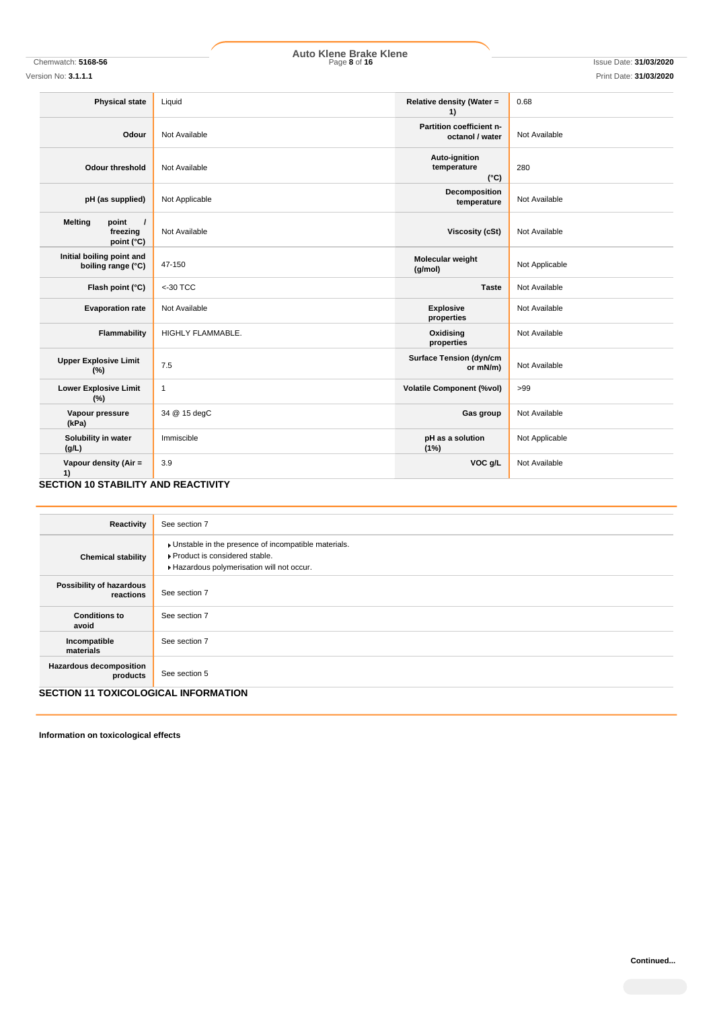# Chemwatch: **5168-56** Page **8** of **16** Issue Date: **31/03/2020 Auto Klene Brake Klene**

Version No: **3.1.1.1** Print Date: **31/03/2020**

| <b>Physical state</b>                                                  | Liquid            | Relative density (Water =<br>1)               | 0.68           |
|------------------------------------------------------------------------|-------------------|-----------------------------------------------|----------------|
| Odour                                                                  | Not Available     | Partition coefficient n-<br>octanol / water   | Not Available  |
| Odour threshold                                                        | Not Available     | Auto-ignition<br>temperature<br>$(^{\circ}C)$ | 280            |
| pH (as supplied)                                                       | Not Applicable    | Decomposition<br>temperature                  | Not Available  |
| <b>Melting</b><br>point<br>$\prime$<br>freezing<br>point $(^{\circ}C)$ | Not Available     | <b>Viscosity (cSt)</b>                        | Not Available  |
| Initial boiling point and<br>boiling range (°C)                        | 47-150            | Molecular weight<br>(g/mol)                   | Not Applicable |
| Flash point (°C)                                                       | $<$ -30 TCC       | <b>Taste</b>                                  | Not Available  |
| <b>Evaporation rate</b>                                                | Not Available     | <b>Explosive</b><br>properties                | Not Available  |
| Flammability                                                           | HIGHLY FLAMMABLE. | Oxidising<br>properties                       | Not Available  |
| <b>Upper Explosive Limit</b><br>(%)                                    | 7.5               | <b>Surface Tension (dyn/cm</b><br>or mN/m)    | Not Available  |
| <b>Lower Explosive Limit</b><br>(%)                                    | $\mathbf{1}$      | <b>Volatile Component (%vol)</b>              | >99            |
| Vapour pressure<br>(kPa)                                               | 34 @ 15 degC      | Gas group                                     | Not Available  |
| Solubility in water<br>(g/L)                                           | Immiscible        | pH as a solution<br>(1%)                      | Not Applicable |
| Vapour density (Air =<br>1)                                            | 3.9               | VOC g/L                                       | Not Available  |

# **SECTION 10 STABILITY AND REACTIVITY**

| Reactivity                                  | See section 7                                                                                                                        |
|---------------------------------------------|--------------------------------------------------------------------------------------------------------------------------------------|
| <b>Chemical stability</b>                   | • Unstable in the presence of incompatible materials.<br>▶ Product is considered stable.<br>Hazardous polymerisation will not occur. |
| Possibility of hazardous<br>reactions       | See section 7                                                                                                                        |
| <b>Conditions to</b><br>avoid               | See section 7                                                                                                                        |
| Incompatible<br>materials                   | See section 7                                                                                                                        |
| <b>Hazardous decomposition</b><br>products  | See section 5                                                                                                                        |
| <b>SECTION 11 TOXICOLOGICAL INFORMATION</b> |                                                                                                                                      |

**Information on toxicological effects**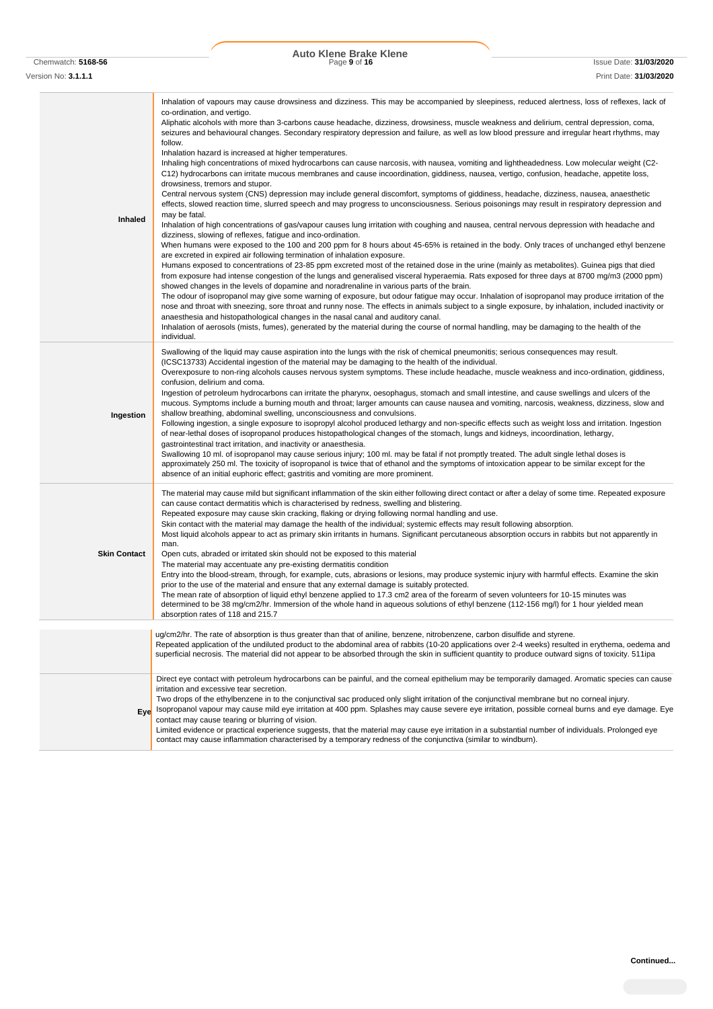# Chemwatch: **5168-56** Page **9** of **16** Issue Date: **31/03/2020 Auto Klene Brake Klene**

Version No: **3.1.1.1** Print Date: **31/03/2020**

| Inhaled             | Inhalation of vapours may cause drowsiness and dizziness. This may be accompanied by sleepiness, reduced alertness, loss of reflexes, lack of<br>co-ordination, and vertigo.<br>Aliphatic alcohols with more than 3-carbons cause headache, dizziness, drowsiness, muscle weakness and delirium, central depression, coma,<br>seizures and behavioural changes. Secondary respiratory depression and failure, as well as low blood pressure and irregular heart rhythms, may<br>follow.<br>Inhalation hazard is increased at higher temperatures.<br>Inhaling high concentrations of mixed hydrocarbons can cause narcosis, with nausea, vomiting and lightheadedness. Low molecular weight (C2-<br>C12) hydrocarbons can irritate mucous membranes and cause incoordination, giddiness, nausea, vertigo, confusion, headache, appetite loss,<br>drowsiness, tremors and stupor.<br>Central nervous system (CNS) depression may include general discomfort, symptoms of giddiness, headache, dizziness, nausea, anaesthetic<br>effects, slowed reaction time, slurred speech and may progress to unconsciousness. Serious poisonings may result in respiratory depression and<br>may be fatal.<br>Inhalation of high concentrations of gas/vapour causes lung irritation with coughing and nausea, central nervous depression with headache and<br>dizziness, slowing of reflexes, fatigue and inco-ordination.<br>When humans were exposed to the 100 and 200 ppm for 8 hours about 45-65% is retained in the body. Only traces of unchanged ethyl benzene<br>are excreted in expired air following termination of inhalation exposure.<br>Humans exposed to concentrations of 23-85 ppm excreted most of the retained dose in the urine (mainly as metabolites). Guinea pigs that died<br>from exposure had intense congestion of the lungs and generalised visceral hyperaemia. Rats exposed for three days at 8700 mg/m3 (2000 ppm)<br>showed changes in the levels of dopamine and noradrenaline in various parts of the brain.<br>The odour of isopropanol may give some warning of exposure, but odour fatigue may occur. Inhalation of isopropanol may produce irritation of the<br>nose and throat with sneezing, sore throat and runny nose. The effects in animals subject to a single exposure, by inhalation, included inactivity or<br>anaesthesia and histopathological changes in the nasal canal and auditory canal.<br>Inhalation of aerosols (mists, fumes), generated by the material during the course of normal handling, may be damaging to the health of the<br>individual. |
|---------------------|-----------------------------------------------------------------------------------------------------------------------------------------------------------------------------------------------------------------------------------------------------------------------------------------------------------------------------------------------------------------------------------------------------------------------------------------------------------------------------------------------------------------------------------------------------------------------------------------------------------------------------------------------------------------------------------------------------------------------------------------------------------------------------------------------------------------------------------------------------------------------------------------------------------------------------------------------------------------------------------------------------------------------------------------------------------------------------------------------------------------------------------------------------------------------------------------------------------------------------------------------------------------------------------------------------------------------------------------------------------------------------------------------------------------------------------------------------------------------------------------------------------------------------------------------------------------------------------------------------------------------------------------------------------------------------------------------------------------------------------------------------------------------------------------------------------------------------------------------------------------------------------------------------------------------------------------------------------------------------------------------------------------------------------------------------------------------------------------------------------------------------------------------------------------------------------------------------------------------------------------------------------------------------------------------------------------------------------------------------------------------------------------------------------------------------------------------------------------------------------------------------------------------------------------------------------------------------------------------------|
| Ingestion           | Swallowing of the liquid may cause aspiration into the lungs with the risk of chemical pneumonitis; serious consequences may result.<br>(ICSC13733) Accidental ingestion of the material may be damaging to the health of the individual.<br>Overexposure to non-ring alcohols causes nervous system symptoms. These include headache, muscle weakness and inco-ordination, giddiness,<br>confusion, delirium and coma.<br>Ingestion of petroleum hydrocarbons can irritate the pharynx, oesophagus, stomach and small intestine, and cause swellings and ulcers of the<br>mucous. Symptoms include a burning mouth and throat; larger amounts can cause nausea and vomiting, narcosis, weakness, dizziness, slow and<br>shallow breathing, abdominal swelling, unconsciousness and convulsions.<br>Following ingestion, a single exposure to isopropyl alcohol produced lethargy and non-specific effects such as weight loss and irritation. Ingestion<br>of near-lethal doses of isopropanol produces histopathological changes of the stomach, lungs and kidneys, incoordination, lethargy,<br>gastrointestinal tract irritation, and inactivity or anaesthesia.<br>Swallowing 10 ml. of isopropanol may cause serious injury; 100 ml. may be fatal if not promptly treated. The adult single lethal doses is<br>approximately 250 ml. The toxicity of isopropanol is twice that of ethanol and the symptoms of intoxication appear to be similar except for the<br>absence of an initial euphoric effect; gastritis and vomiting are more prominent.                                                                                                                                                                                                                                                                                                                                                                                                                                                                                                                                                                                                                                                                                                                                                                                                                                                                                                                                                                                                                                           |
| <b>Skin Contact</b> | The material may cause mild but significant inflammation of the skin either following direct contact or after a delay of some time. Repeated exposure<br>can cause contact dermatitis which is characterised by redness, swelling and blistering.<br>Repeated exposure may cause skin cracking, flaking or drying following normal handling and use.<br>Skin contact with the material may damage the health of the individual; systemic effects may result following absorption.<br>Most liquid alcohols appear to act as primary skin irritants in humans. Significant percutaneous absorption occurs in rabbits but not apparently in<br>man.<br>Open cuts, abraded or irritated skin should not be exposed to this material<br>The material may accentuate any pre-existing dermatitis condition<br>Entry into the blood-stream, through, for example, cuts, abrasions or lesions, may produce systemic injury with harmful effects. Examine the skin<br>prior to the use of the material and ensure that any external damage is suitably protected.<br>The mean rate of absorption of liquid ethyl benzene applied to 17.3 cm2 area of the forearm of seven volunteers for 10-15 minutes was<br>determined to be 38 mg/cm2/hr. Immersion of the whole hand in aqueous solutions of ethyl benzene (112-156 mg/l) for 1 hour yielded mean<br>absorption rates of 118 and 215.7                                                                                                                                                                                                                                                                                                                                                                                                                                                                                                                                                                                                                                                                                                                                                                                                                                                                                                                                                                                                                                                                                                                                                                                                                   |
|                     | ug/cm2/hr. The rate of absorption is thus greater than that of aniline, benzene, nitrobenzene, carbon disulfide and styrene.<br>Repeated application of the undiluted product to the abdominal area of rabbits (10-20 applications over 2-4 weeks) resulted in erythema, oedema and<br>superficial necrosis. The material did not appear to be absorbed through the skin in sufficient quantity to produce outward signs of toxicity. 511ipa                                                                                                                                                                                                                                                                                                                                                                                                                                                                                                                                                                                                                                                                                                                                                                                                                                                                                                                                                                                                                                                                                                                                                                                                                                                                                                                                                                                                                                                                                                                                                                                                                                                                                                                                                                                                                                                                                                                                                                                                                                                                                                                                                        |
|                     | Direct eye contact with petroleum hydrocarbons can be painful, and the corneal epithelium may be temporarily damaged. Aromatic species can cause<br>irritation and excessive tear secretion.                                                                                                                                                                                                                                                                                                                                                                                                                                                                                                                                                                                                                                                                                                                                                                                                                                                                                                                                                                                                                                                                                                                                                                                                                                                                                                                                                                                                                                                                                                                                                                                                                                                                                                                                                                                                                                                                                                                                                                                                                                                                                                                                                                                                                                                                                                                                                                                                        |
|                     |                                                                                                                                                                                                                                                                                                                                                                                                                                                                                                                                                                                                                                                                                                                                                                                                                                                                                                                                                                                                                                                                                                                                                                                                                                                                                                                                                                                                                                                                                                                                                                                                                                                                                                                                                                                                                                                                                                                                                                                                                                                                                                                                                                                                                                                                                                                                                                                                                                                                                                                                                                                                     |

**Eye** Isopropanol vapour may cause mild eye irritation at 400 ppm. Splashes may cause severe eye irritation, possible corneal burns and eye damage. Eye Two drops of the ethylbenzene in to the conjunctival sac produced only slight irritation of the conjunctival membrane but no corneal injury. contact may cause tearing or blurring of vision.

Limited evidence or practical experience suggests, that the material may cause eye irritation in a substantial number of individuals. Prolonged eye contact may cause inflammation characterised by a temporary redness of the conjunctiva (similar to windburn).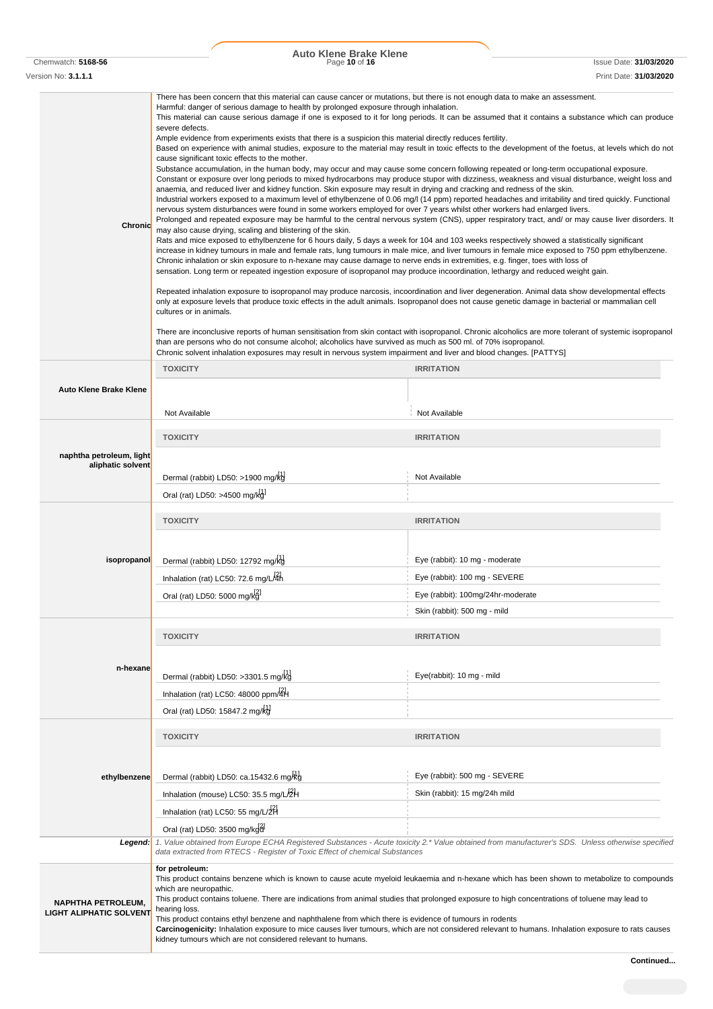|                                                             | <b>Auto Klene Brake Klene</b>                                                                                                                                                                                                                                                                                                                                                                                                                                                                                                                                                                                                                                                                                                                                                                                                                                                                                                                                                                                                                                                                                                                                                                                                                                                                                                                                                                                                              |                                                                                                                                                                                                                                                                                                                                                                                                                                                                                                                                                                                                                                                                                                                                                                                                                                                                                                                                                                                                                                                                                                                                                                                                                                                                                                                                                                                                      |
|-------------------------------------------------------------|--------------------------------------------------------------------------------------------------------------------------------------------------------------------------------------------------------------------------------------------------------------------------------------------------------------------------------------------------------------------------------------------------------------------------------------------------------------------------------------------------------------------------------------------------------------------------------------------------------------------------------------------------------------------------------------------------------------------------------------------------------------------------------------------------------------------------------------------------------------------------------------------------------------------------------------------------------------------------------------------------------------------------------------------------------------------------------------------------------------------------------------------------------------------------------------------------------------------------------------------------------------------------------------------------------------------------------------------------------------------------------------------------------------------------------------------|------------------------------------------------------------------------------------------------------------------------------------------------------------------------------------------------------------------------------------------------------------------------------------------------------------------------------------------------------------------------------------------------------------------------------------------------------------------------------------------------------------------------------------------------------------------------------------------------------------------------------------------------------------------------------------------------------------------------------------------------------------------------------------------------------------------------------------------------------------------------------------------------------------------------------------------------------------------------------------------------------------------------------------------------------------------------------------------------------------------------------------------------------------------------------------------------------------------------------------------------------------------------------------------------------------------------------------------------------------------------------------------------------|
| Chemwatch: 5168-56<br>Version No: <b>3.1.1.1</b>            | Page 10 of 16                                                                                                                                                                                                                                                                                                                                                                                                                                                                                                                                                                                                                                                                                                                                                                                                                                                                                                                                                                                                                                                                                                                                                                                                                                                                                                                                                                                                                              | <b>Issue Date: 31/03/2020</b><br>Print Date: 31/03/2020                                                                                                                                                                                                                                                                                                                                                                                                                                                                                                                                                                                                                                                                                                                                                                                                                                                                                                                                                                                                                                                                                                                                                                                                                                                                                                                                              |
| <b>Chronid</b>                                              | There has been concern that this material can cause cancer or mutations, but there is not enough data to make an assessment.<br>Harmful: danger of serious damage to health by prolonged exposure through inhalation.<br>severe defects.<br>Ample evidence from experiments exists that there is a suspicion this material directly reduces fertility.<br>cause significant toxic effects to the mother.<br>Substance accumulation, in the human body, may occur and may cause some concern following repeated or long-term occupational exposure.<br>anaemia, and reduced liver and kidney function. Skin exposure may result in drying and cracking and redness of the skin.<br>nervous system disturbances were found in some workers employed for over 7 years whilst other workers had enlarged livers.<br>may also cause drying, scaling and blistering of the skin.<br>Rats and mice exposed to ethylbenzene for 6 hours daily, 5 days a week for 104 and 103 weeks respectively showed a statistically significant<br>Chronic inhalation or skin exposure to n-hexane may cause damage to nerve ends in extremities, e.g. finger, toes with loss of<br>sensation. Long term or repeated ingestion exposure of isopropanol may produce incoordination, lethargy and reduced weight gain.<br>cultures or in animals.<br>than are persons who do not consume alcohol; alcoholics have survived as much as 500 ml. of 70% isopropanol. | This material can cause serious damage if one is exposed to it for long periods. It can be assumed that it contains a substance which can produce<br>Based on experience with animal studies, exposure to the material may result in toxic effects to the development of the foetus, at levels which do not<br>Constant or exposure over long periods to mixed hydrocarbons may produce stupor with dizziness, weakness and visual disturbance, weight loss and<br>Industrial workers exposed to a maximum level of ethylbenzene of 0.06 mg/l (14 ppm) reported headaches and irritability and tired quickly. Functional<br>Prolonged and repeated exposure may be harmful to the central nervous system (CNS), upper respiratory tract, and/ or may cause liver disorders. It<br>increase in kidney tumours in male and female rats, lung tumours in male mice, and liver tumours in female mice exposed to 750 ppm ethylbenzene.<br>Repeated inhalation exposure to isopropanol may produce narcosis, incoordination and liver degeneration. Animal data show developmental effects<br>only at exposure levels that produce toxic effects in the adult animals. Isopropanol does not cause genetic damage in bacterial or mammalian cell<br>There are inconclusive reports of human sensitisation from skin contact with isopropanol. Chronic alcoholics are more tolerant of systemic isopropanol |
|                                                             | Chronic solvent inhalation exposures may result in nervous system impairment and liver and blood changes. [PATTYS]                                                                                                                                                                                                                                                                                                                                                                                                                                                                                                                                                                                                                                                                                                                                                                                                                                                                                                                                                                                                                                                                                                                                                                                                                                                                                                                         |                                                                                                                                                                                                                                                                                                                                                                                                                                                                                                                                                                                                                                                                                                                                                                                                                                                                                                                                                                                                                                                                                                                                                                                                                                                                                                                                                                                                      |
| <b>Auto Klene Brake Klene</b>                               | <b>TOXICITY</b>                                                                                                                                                                                                                                                                                                                                                                                                                                                                                                                                                                                                                                                                                                                                                                                                                                                                                                                                                                                                                                                                                                                                                                                                                                                                                                                                                                                                                            | <b>IRRITATION</b>                                                                                                                                                                                                                                                                                                                                                                                                                                                                                                                                                                                                                                                                                                                                                                                                                                                                                                                                                                                                                                                                                                                                                                                                                                                                                                                                                                                    |
|                                                             | Not Available                                                                                                                                                                                                                                                                                                                                                                                                                                                                                                                                                                                                                                                                                                                                                                                                                                                                                                                                                                                                                                                                                                                                                                                                                                                                                                                                                                                                                              | Not Available                                                                                                                                                                                                                                                                                                                                                                                                                                                                                                                                                                                                                                                                                                                                                                                                                                                                                                                                                                                                                                                                                                                                                                                                                                                                                                                                                                                        |
|                                                             | <b>TOXICITY</b>                                                                                                                                                                                                                                                                                                                                                                                                                                                                                                                                                                                                                                                                                                                                                                                                                                                                                                                                                                                                                                                                                                                                                                                                                                                                                                                                                                                                                            | <b>IRRITATION</b>                                                                                                                                                                                                                                                                                                                                                                                                                                                                                                                                                                                                                                                                                                                                                                                                                                                                                                                                                                                                                                                                                                                                                                                                                                                                                                                                                                                    |
| naphtha petroleum, light<br>aliphatic solvent               | Dermal (rabbit) LD50: >1900 mg/kg<br>Oral (rat) LD50: >4500 mg/kg                                                                                                                                                                                                                                                                                                                                                                                                                                                                                                                                                                                                                                                                                                                                                                                                                                                                                                                                                                                                                                                                                                                                                                                                                                                                                                                                                                          | Not Available                                                                                                                                                                                                                                                                                                                                                                                                                                                                                                                                                                                                                                                                                                                                                                                                                                                                                                                                                                                                                                                                                                                                                                                                                                                                                                                                                                                        |
|                                                             | <b>TOXICITY</b>                                                                                                                                                                                                                                                                                                                                                                                                                                                                                                                                                                                                                                                                                                                                                                                                                                                                                                                                                                                                                                                                                                                                                                                                                                                                                                                                                                                                                            | <b>IRRITATION</b>                                                                                                                                                                                                                                                                                                                                                                                                                                                                                                                                                                                                                                                                                                                                                                                                                                                                                                                                                                                                                                                                                                                                                                                                                                                                                                                                                                                    |
| isopropanol                                                 | Dermal (rabbit) LD50: 12792 mg/kg<br>Inhalation (rat) LC50: 72.6 mg/L/4h<br>Oral (rat) LD50: 5000 mg/kg                                                                                                                                                                                                                                                                                                                                                                                                                                                                                                                                                                                                                                                                                                                                                                                                                                                                                                                                                                                                                                                                                                                                                                                                                                                                                                                                    | Eye (rabbit): 10 mg - moderate<br>Eye (rabbit): 100 mg - SEVERE<br>Eye (rabbit): 100mg/24hr-moderate<br>Skin (rabbit): 500 mg - mild                                                                                                                                                                                                                                                                                                                                                                                                                                                                                                                                                                                                                                                                                                                                                                                                                                                                                                                                                                                                                                                                                                                                                                                                                                                                 |
|                                                             |                                                                                                                                                                                                                                                                                                                                                                                                                                                                                                                                                                                                                                                                                                                                                                                                                                                                                                                                                                                                                                                                                                                                                                                                                                                                                                                                                                                                                                            |                                                                                                                                                                                                                                                                                                                                                                                                                                                                                                                                                                                                                                                                                                                                                                                                                                                                                                                                                                                                                                                                                                                                                                                                                                                                                                                                                                                                      |
| n-hexane                                                    | <b>TOXICITY</b><br>Dermal (rabbit) LD50: >3301.5 mg/kg<br>Inhalation (rat) LC50: 48000 ppm/4H<br>Oral (rat) LD50: 15847.2 mg/kg                                                                                                                                                                                                                                                                                                                                                                                                                                                                                                                                                                                                                                                                                                                                                                                                                                                                                                                                                                                                                                                                                                                                                                                                                                                                                                            | <b>IRRITATION</b><br>Eye(rabbit): 10 mg - mild                                                                                                                                                                                                                                                                                                                                                                                                                                                                                                                                                                                                                                                                                                                                                                                                                                                                                                                                                                                                                                                                                                                                                                                                                                                                                                                                                       |
|                                                             | <b>TOXICITY</b>                                                                                                                                                                                                                                                                                                                                                                                                                                                                                                                                                                                                                                                                                                                                                                                                                                                                                                                                                                                                                                                                                                                                                                                                                                                                                                                                                                                                                            | <b>IRRITATION</b>                                                                                                                                                                                                                                                                                                                                                                                                                                                                                                                                                                                                                                                                                                                                                                                                                                                                                                                                                                                                                                                                                                                                                                                                                                                                                                                                                                                    |
| ethylbenzene                                                | Dermal (rabbit) LD50: ca.15432.6 mg/kg<br>Inhalation (mouse) LC50: 35.5 mg/L/2H<br>Inhalation (rat) LC50: 55 mg/L/2H<br>Oral (rat) LD50: 3500 mg/kgd                                                                                                                                                                                                                                                                                                                                                                                                                                                                                                                                                                                                                                                                                                                                                                                                                                                                                                                                                                                                                                                                                                                                                                                                                                                                                       | Eye (rabbit): 500 mg - SEVERE<br>Skin (rabbit): 15 mg/24h mild                                                                                                                                                                                                                                                                                                                                                                                                                                                                                                                                                                                                                                                                                                                                                                                                                                                                                                                                                                                                                                                                                                                                                                                                                                                                                                                                       |
| Legend:                                                     | data extracted from RTECS - Register of Toxic Effect of chemical Substances                                                                                                                                                                                                                                                                                                                                                                                                                                                                                                                                                                                                                                                                                                                                                                                                                                                                                                                                                                                                                                                                                                                                                                                                                                                                                                                                                                | 1. Value obtained from Europe ECHA Registered Substances - Acute toxicity 2.* Value obtained from manufacturer's SDS. Unless otherwise specified                                                                                                                                                                                                                                                                                                                                                                                                                                                                                                                                                                                                                                                                                                                                                                                                                                                                                                                                                                                                                                                                                                                                                                                                                                                     |
| <b>NAPHTHA PETROLEUM,</b><br><b>LIGHT ALIPHATIC SOLVENT</b> | for petroleum:<br>which are neuropathic.<br>This product contains toluene. There are indications from animal studies that prolonged exposure to high concentrations of toluene may lead to<br>hearing loss.<br>This product contains ethyl benzene and naphthalene from which there is evidence of tumours in rodents<br>kidney tumours which are not considered relevant to humans.                                                                                                                                                                                                                                                                                                                                                                                                                                                                                                                                                                                                                                                                                                                                                                                                                                                                                                                                                                                                                                                       | This product contains benzene which is known to cause acute myeloid leukaemia and n-hexane which has been shown to metabolize to compounds<br>Carcinogenicity: Inhalation exposure to mice causes liver tumours, which are not considered relevant to humans. Inhalation exposure to rats causes                                                                                                                                                                                                                                                                                                                                                                                                                                                                                                                                                                                                                                                                                                                                                                                                                                                                                                                                                                                                                                                                                                     |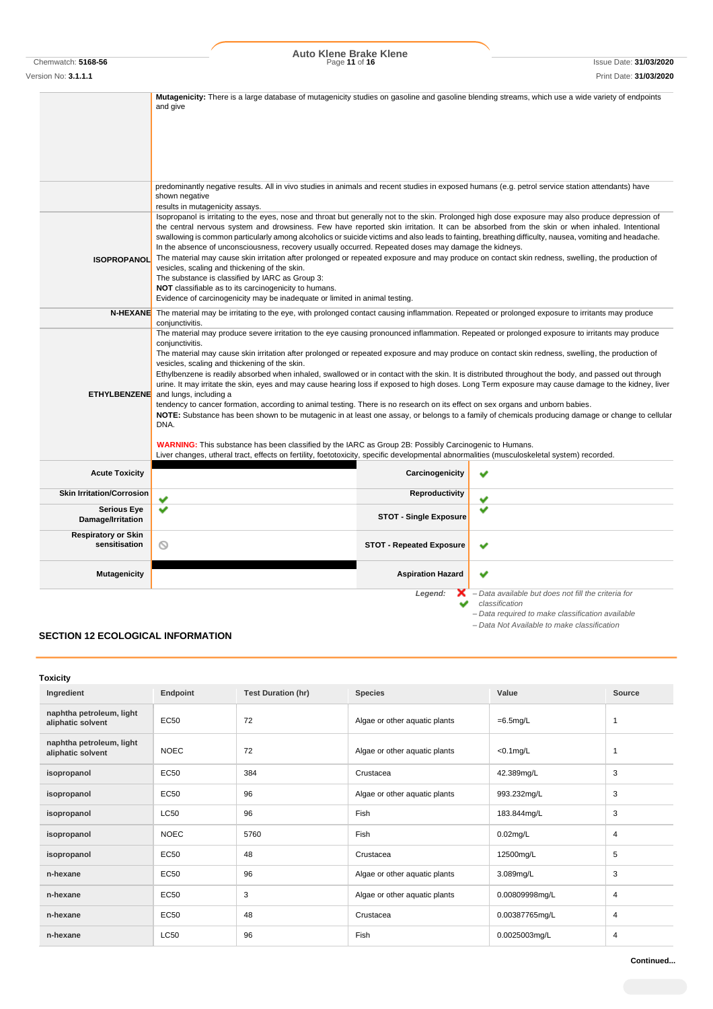# Chemwatch: **5168-56** Page **11** of **16** Issue Date: **31/03/2020 Auto Klene Brake Klene**

Version No: **3.1.1.1** Print Date: **31/03/2020**

**Mutagenicity:** There is a large database of mutagenicity studies on gasoline and gasoline blending streams, which use a wide variety of endpoints and give predominantly negative results. All in vivo studies in animals and recent studies in exposed humans (e.g. petrol service station attendants) have shown negative results in mutagenicity assays. Isopropanol is irritating to the eyes, nose and throat but generally not to the skin. Prolonged high dose exposure may also produce depression of the central nervous system and drowsiness. Few have reported skin irritation. It can be absorbed from the skin or when inhaled. Intentional swallowing is common particularly among alcoholics or suicide victims and also leads to fainting, breathing difficulty, nausea, vomiting and headache. In the absence of unconsciousness, recovery usually occurred. Repeated doses may damage the kidneys. **ISOPROPANOL** The material may cause skin irritation after prolonged or repeated exposure and may produce on contact skin redness, swelling, the production of vesicles, scaling and thickening of the skin. The substance is classified by IARC as Group 3: **NOT** classifiable as to its carcinogenicity to humans. Evidence of carcinogenicity may be inadequate or limited in animal testing. **N-HEXANE** The material may be irritating to the eye, with prolonged contact causing inflammation. Repeated or prolonged exposure to irritants may produce conjunctivitis. The material may produce severe irritation to the eye causing pronounced inflammation. Repeated or prolonged exposure to irritants may produce conjunctivitis. The material may cause skin irritation after prolonged or repeated exposure and may produce on contact skin redness, swelling, the production of vesicles, scaling and thickening of the skin. Ethylbenzene is readily absorbed when inhaled, swallowed or in contact with the skin. It is distributed throughout the body, and passed out through urine. It may irritate the skin, eyes and may cause hearing loss if exposed to high doses. Long Term exposure may cause damage to the kidney, liver **ETHYLBENZENE** and lungs, including a tendency to cancer formation, according to animal testing. There is no research on its effect on sex organs and unborn babies. **NOTE:** Substance has been shown to be mutagenic in at least one assay, or belongs to a family of chemicals producing damage or change to cellular DNA. **WARNING:** This substance has been classified by the IARC as Group 2B: Possibly Carcinogenic to Humans. Liver changes, utheral tract, effects on fertility, foetotoxicity, specific developmental abnormalities (musculoskeletal system) recorded. **Acute Toxicity Carcinogenicity Carcinogenicity Skin Irritation/Corrosion Reproductivity Serious Eye**  $\sim$ u **Damage/Irritation Respiratory or Skin STOT - Repeated Exposure** U **Mutagenicity Aspiration Hazard Aspiration Hazard Aspiration Hazard Aspiration Hazard** ৺ *Legend: – Data available but does not fill the criteria for*  ◡ *classification*

*– Data required to make classification available*

*– Data Not Available to make classification*

## **SECTION 12 ECOLOGICAL INFORMATION**

| Toxicity                                      |             |                           |                               |                |        |
|-----------------------------------------------|-------------|---------------------------|-------------------------------|----------------|--------|
| Ingredient                                    | Endpoint    | <b>Test Duration (hr)</b> | <b>Species</b>                | Value          | Source |
| naphtha petroleum, light<br>aliphatic solvent | EC50        | 72                        | Algae or other aquatic plants | $=6.5$ mg/L    | -1     |
| naphtha petroleum, light<br>aliphatic solvent | <b>NOEC</b> | 72                        | Algae or other aquatic plants | $<$ 0.1 $mg/L$ | -1     |
| isopropanol                                   | EC50        | 384                       | Crustacea                     | 42.389mg/L     | 3      |
| isopropanol                                   | <b>EC50</b> | 96                        | Algae or other aquatic plants | 993.232mg/L    | 3      |
| isopropanol                                   | <b>LC50</b> | 96                        | Fish                          | 183.844mg/L    | 3      |
| isopropanol                                   | <b>NOEC</b> | 5760                      | Fish                          | $0.02$ mg/L    | 4      |
| isopropanol                                   | <b>EC50</b> | 48                        | Crustacea                     | 12500mg/L      | 5      |
| n-hexane                                      | <b>EC50</b> | 96                        | Algae or other aquatic plants | 3.089mg/L      | 3      |
| n-hexane                                      | EC50        | 3                         | Algae or other aquatic plants | 0.00809998mg/L | 4      |
| n-hexane                                      | <b>EC50</b> | 48                        | Crustacea                     | 0.00387765mg/L | 4      |
| n-hexane                                      | <b>LC50</b> | 96                        | Fish                          | 0.0025003mg/L  | 4      |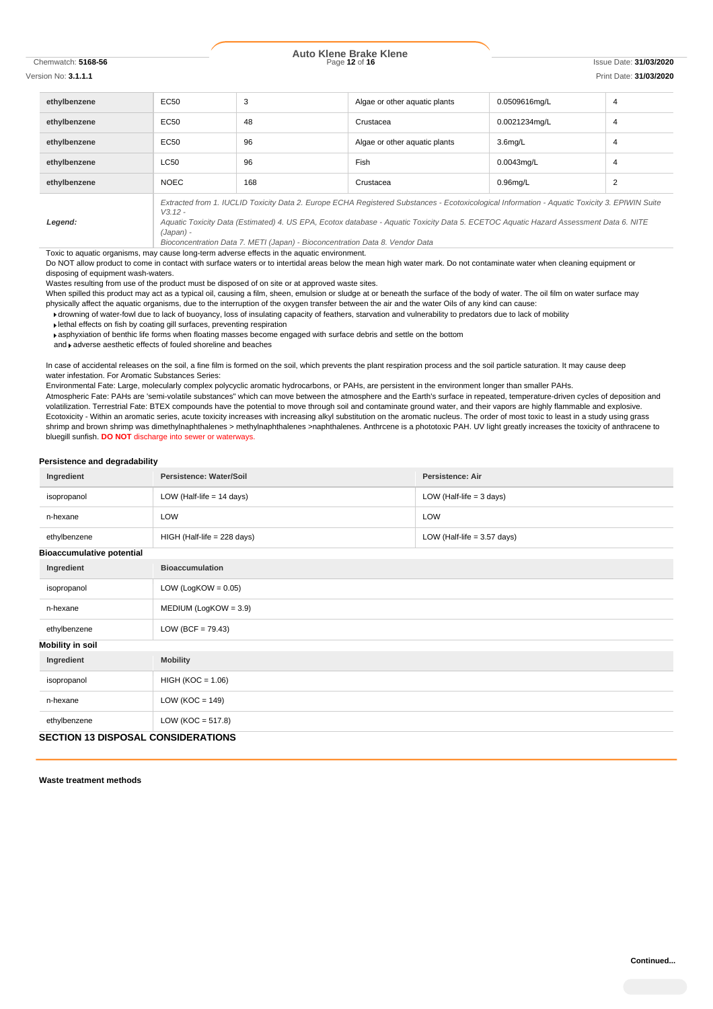# Chemwatch: **5168-56** Page **12** of **16** Issue Date: **31/03/2020 Auto Klene Brake Klene**

### Version No: **3.1.1.1** Print Date: **31/03/2020**

| ethylbenzene | EC50                                                                                                                                                                                                                                                                                                             | 3   | Algae or other aquatic plants | 0.0509616mg/L       | 4 |
|--------------|------------------------------------------------------------------------------------------------------------------------------------------------------------------------------------------------------------------------------------------------------------------------------------------------------------------|-----|-------------------------------|---------------------|---|
| ethylbenzene | EC50                                                                                                                                                                                                                                                                                                             | 48  | Crustacea                     | 0.0021234mg/L       | 4 |
| ethylbenzene | EC50                                                                                                                                                                                                                                                                                                             | 96  | Algae or other aquatic plants | 3.6 <sub>mq/L</sub> | 4 |
| ethylbenzene | <b>LC50</b>                                                                                                                                                                                                                                                                                                      | 96  | Fish                          | $0.0043$ ma/L       | 4 |
| ethylbenzene | <b>NOEC</b>                                                                                                                                                                                                                                                                                                      | 168 | Crustacea                     | $0.96$ mg/L         | 2 |
| Legend:      | Extracted from 1. IUCLID Toxicity Data 2. Europe ECHA Registered Substances - Ecotoxicological Information - Aquatic Toxicity 3. EPIWIN Suite<br>$V3.12 -$<br>Aquatic Toxicity Data (Estimated) 4. US EPA, Ecotox database - Aquatic Toxicity Data 5. ECETOC Aquatic Hazard Assessment Data 6. NITE<br>(Japan) - |     |                               |                     |   |

*Bioconcentration Data 7. METI (Japan) - Bioconcentration Data 8. Vendor Data*

Toxic to aquatic organisms, may cause long-term adverse effects in the aquatic environment.

Do NOT allow product to come in contact with surface waters or to intertidal areas below the mean high water mark. Do not contaminate water when cleaning equipment or disposing of equipment wash-waters.

Wastes resulting from use of the product must be disposed of on site or at approved waste sites.

When spilled this product may act as a typical oil, causing a film, sheen, emulsion or sludge at or beneath the surface of the body of water. The oil film on water surface may physically affect the aquatic organisms, due to the interruption of the oxygen transfer between the air and the water Oils of any kind can cause:

drowning of water-fowl due to lack of buoyancy, loss of insulating capacity of feathers, starvation and vulnerability to predators due to lack of mobility

lethal effects on fish by coating gill surfaces, preventing respiration

asphyxiation of benthic life forms when floating masses become engaged with surface debris and settle on the bottom

and  $\blacktriangleright$  adverse aesthetic effects of fouled shoreline and beaches

In case of accidental releases on the soil, a fine film is formed on the soil, which prevents the plant respiration process and the soil particle saturation. It may cause deep water infestation. For Aromatic Substances Series:

Environmental Fate: Large, molecularly complex polycyclic aromatic hydrocarbons, or PAHs, are persistent in the environment longer than smaller PAHs. Atmospheric Fate: PAHs are 'semi-volatile substances" which can move between the atmosphere and the Earth's surface in repeated, temperature-driven cycles of deposition and volatilization. Terrestrial Fate: BTEX compounds have the potential to move through soil and contaminate ground water, and their vapors are highly flammable and explosive. Ecotoxicity - Within an aromatic series, acute toxicity increases with increasing alkyl substitution on the aromatic nucleus. The order of most toxic to least in a study using grass shrimp and brown shrimp was dimethylnaphthalenes > methylnaphthalenes >naphthalenes. Anthrcene is a phototoxic PAH. UV light greatly increases the toxicity of anthracene to bluegill sunfish. **DO NOT** discharge into sewer or waterways.

#### **Persistence and degradability**

| Ingredient                                | Persistence: Water/Soil       | Persistence: Air              |  |
|-------------------------------------------|-------------------------------|-------------------------------|--|
| isopropanol                               | LOW (Half-life $= 14$ days)   | LOW (Half-life $=$ 3 days)    |  |
| n-hexane                                  | LOW                           | LOW                           |  |
| ethylbenzene                              | $HIGH$ (Half-life = 228 days) | LOW (Half-life $= 3.57$ days) |  |
| <b>Bioaccumulative potential</b>          |                               |                               |  |
| Ingredient                                | <b>Bioaccumulation</b>        |                               |  |
| isopropanol                               | LOW (LogKOW = $0.05$ )        |                               |  |
| n-hexane                                  | $MEDIUM (LogKOW = 3.9)$       |                               |  |
| ethylbenzene                              | $LOW (BCF = 79.43)$           |                               |  |
| <b>Mobility in soil</b>                   |                               |                               |  |
| Ingredient                                | <b>Mobility</b>               |                               |  |
| isopropanol                               | $HIGH (KOC = 1.06)$           |                               |  |
| n-hexane                                  | $LOW (KOC = 149)$             |                               |  |
| ethylbenzene                              | LOW ( $KOC = 517.8$ )         |                               |  |
| <b>SECTION 13 DISPOSAL CONSIDERATIONS</b> |                               |                               |  |

**Waste treatment methods**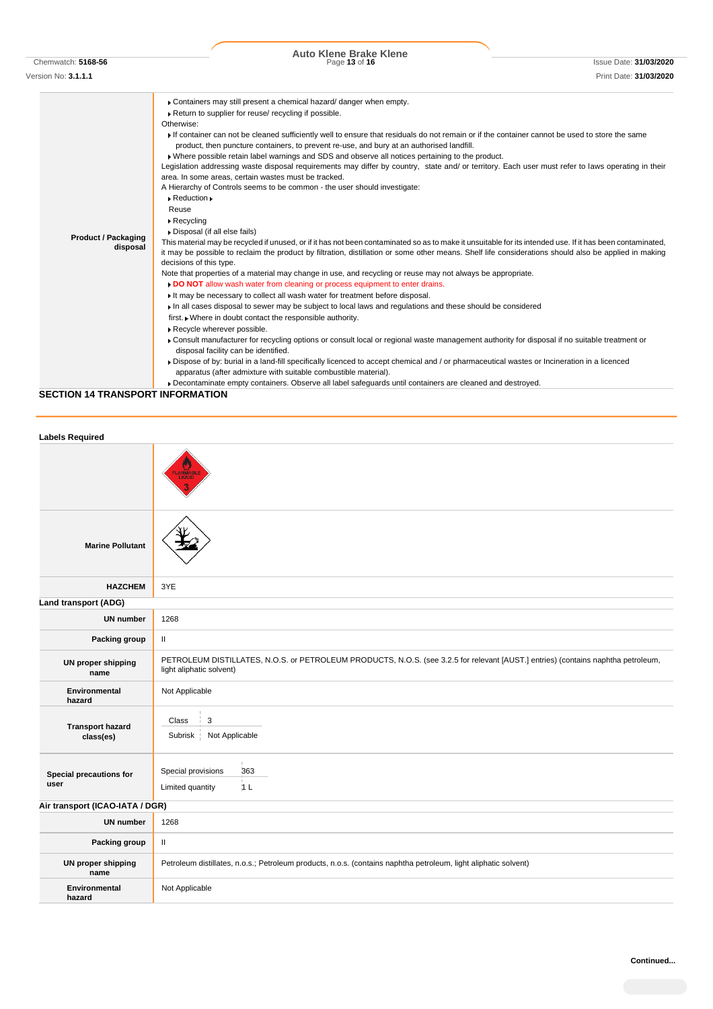| Chemwatch: 5168-5 |  |
|-------------------|--|
|                   |  |

Chemwatch: **5168-56** Page **13** of **16** Issue Date: **31/03/2020 Auto Klene Brake Klene**

| Version No: <b>3.1.1.1</b>                                                                                                 | Print Date: <b>31/03/2020</b> |
|----------------------------------------------------------------------------------------------------------------------------|-------------------------------|
| Containers may still present a chemical hazard/ danger when empty.<br>Return to supplier for reuse/ recycling if possible. |                               |
| Otherwise:                                                                                                                 |                               |

**Product / Packaging disposal** If container can not be cleaned sufficiently well to ensure that residuals do not remain or if the container cannot be used to store the same product, then puncture containers, to prevent re-use, and bury at an authorised landfill. Where possible retain label warnings and SDS and observe all notices pertaining to the product. Legislation addressing waste disposal requirements may differ by country, state and/ or territory. Each user must refer to laws operating in their area. In some areas, certain wastes must be tracked. A Hierarchy of Controls seems to be common - the user should investigate:  $\blacktriangleright$  Reduction  $\blacktriangleright$ Reuse Recycling Disposal (if all else fails) This material may be recycled if unused, or if it has not been contaminated so as to make it unsuitable for its intended use. If it has been contaminated, it may be possible to reclaim the product by filtration, distillation or some other means. Shelf life considerations should also be applied in making

| decisions of this type.                                                                                    |
|------------------------------------------------------------------------------------------------------------|
| Note that properties of a material may change in use, and requoling or reuse may not always he appropriate |

Note that properties of a material may change in use, and recycling or reuse may not always be appropriate. **DO NOT** allow wash water from cleaning or process equipment to enter drains.

- It may be necessary to collect all wash water for treatment before disposal.
- In all cases disposal to sewer may be subject to local laws and regulations and these should be considered
- first. Where in doubt contact the responsible authority.
- Recycle wherever possible.
- Consult manufacturer for recycling options or consult local or regional waste management authority for disposal if no suitable treatment or disposal facility can be identified.
- Dispose of by: burial in a land-fill specifically licenced to accept chemical and / or pharmaceutical wastes or Incineration in a licenced apparatus (after admixture with suitable combustible material).
- Decontaminate empty containers. Observe all label safeguards until containers are cleaned and destroyed.

**SECTION 14 TRANSPORT INFORMATION**

| <b>Labels Required</b>               |                                                                                                                                                               |
|--------------------------------------|---------------------------------------------------------------------------------------------------------------------------------------------------------------|
|                                      | <b>FLAMMABL</b>                                                                                                                                               |
| <b>Marine Pollutant</b>              |                                                                                                                                                               |
| <b>HAZCHEM</b>                       | 3YE                                                                                                                                                           |
| Land transport (ADG)                 |                                                                                                                                                               |
| <b>UN number</b>                     | 1268                                                                                                                                                          |
| Packing group                        | $\mathbf{II}$                                                                                                                                                 |
| <b>UN proper shipping</b><br>name    | PETROLEUM DISTILLATES, N.O.S. or PETROLEUM PRODUCTS, N.O.S. (see 3.2.5 for relevant [AUST.] entries) (contains naphtha petroleum,<br>light aliphatic solvent) |
| Environmental<br>hazard              | Not Applicable                                                                                                                                                |
| <b>Transport hazard</b><br>class(es) | 3<br>Class<br>Not Applicable<br>Subrisk                                                                                                                       |
| Special precautions for<br>user      | Special provisions<br>363<br>1L<br>Limited quantity                                                                                                           |
| Air transport (ICAO-IATA / DGR)      |                                                                                                                                                               |
| <b>UN number</b>                     | 1268                                                                                                                                                          |
| Packing group                        | Ш                                                                                                                                                             |
| <b>UN proper shipping</b><br>name    | Petroleum distillates, n.o.s.; Petroleum products, n.o.s. (contains naphtha petroleum, light aliphatic solvent)                                               |
| <b>Environmental</b><br>hazard       | Not Applicable                                                                                                                                                |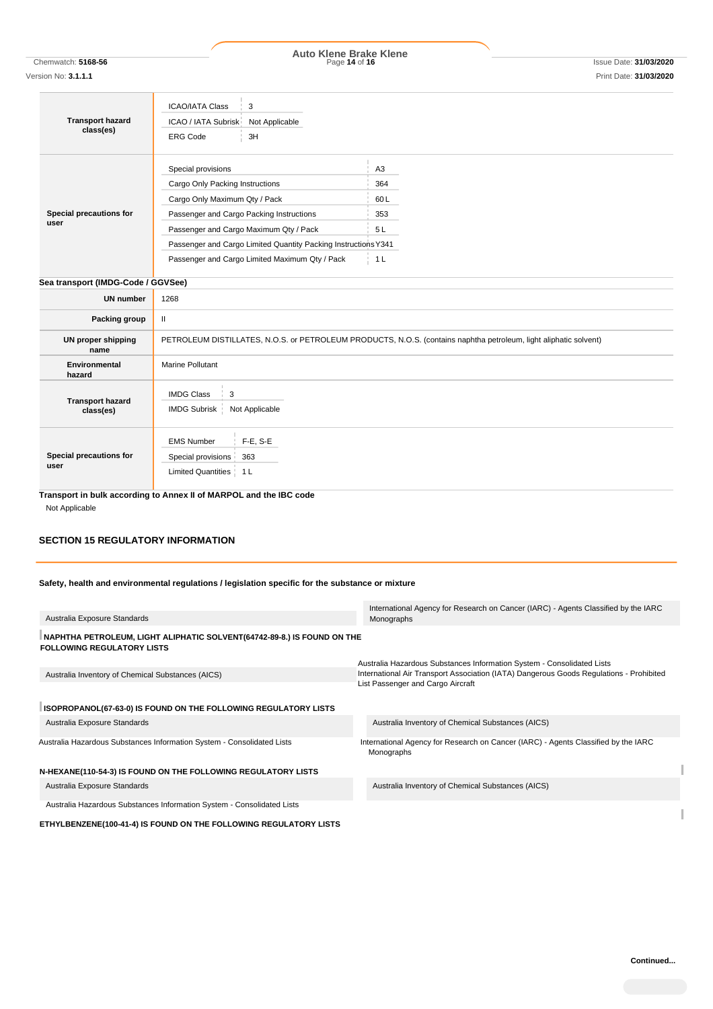Chemwatch: **5168-56** Page **14** of **16** Issue Date: **31/03/2020 Auto Klene Brake Klene**

| <b>Transport hazard</b><br>class(es) | <b>ICAO/IATA Class</b><br>3<br>ICAO / IATA Subrisk<br>Not Applicable<br><b>ERG Code</b><br>3H                     |                |
|--------------------------------------|-------------------------------------------------------------------------------------------------------------------|----------------|
|                                      | Special provisions                                                                                                | A <sub>3</sub> |
|                                      | Cargo Only Packing Instructions                                                                                   | 364            |
|                                      | Cargo Only Maximum Qty / Pack                                                                                     | 60L            |
| Special precautions for<br>user      | Passenger and Cargo Packing Instructions                                                                          | 353            |
|                                      | Passenger and Cargo Maximum Qty / Pack                                                                            | 5 L            |
|                                      | Passenger and Cargo Limited Quantity Packing Instructions Y341                                                    |                |
|                                      | Passenger and Cargo Limited Maximum Qty / Pack                                                                    | 1 L            |
| Sea transport (IMDG-Code / GGVSee)   |                                                                                                                   |                |
| <b>UN number</b>                     | 1268                                                                                                              |                |
| Packing group                        | Ш                                                                                                                 |                |
| UN proper shipping<br>name           | PETROLEUM DISTILLATES, N.O.S. or PETROLEUM PRODUCTS, N.O.S. (contains naphtha petroleum, light aliphatic solvent) |                |
| Environmental<br>hazard              | Marine Pollutant                                                                                                  |                |
| <b>Transport hazard</b>              | <b>IMDG Class</b><br>3                                                                                            |                |

| class(es)                       | IMDG Subrisk   Not Applicable                                                         |
|---------------------------------|---------------------------------------------------------------------------------------|
| Special precautions for<br>user | $F-E, S-E$<br><b>EMS Number</b><br>Special provisions 363<br>Limited Quantities   1 L |
|                                 | Transport in bulk according to Annex II of MARPOL and the IBC code                    |

Not Applicable

# **SECTION 15 REGULATORY INFORMATION**

**Safety, health and environmental regulations / legislation specific for the substance or mixture**

|                                                                                                               | International Agency for Research on Cancer (IARC) - Agents Classified by the IARC               |
|---------------------------------------------------------------------------------------------------------------|--------------------------------------------------------------------------------------------------|
| Australia Exposure Standards                                                                                  | Monographs                                                                                       |
| NAPHTHA PETROLEUM, LIGHT ALIPHATIC SOLVENT (64742-89-8.) IS FOUND ON THE<br><b>FOLLOWING REGULATORY LISTS</b> |                                                                                                  |
|                                                                                                               | Australia Hazardous Substances Information System - Consolidated Lists                           |
| Australia Inventory of Chemical Substances (AICS)                                                             | International Air Transport Association (IATA) Dangerous Goods Regulations - Prohibited          |
|                                                                                                               | List Passenger and Cargo Aircraft                                                                |
|                                                                                                               |                                                                                                  |
| ISOPROPANOL(67-63-0) IS FOUND ON THE FOLLOWING REGULATORY LISTS                                               |                                                                                                  |
| Australia Exposure Standards                                                                                  | Australia Inventory of Chemical Substances (AICS)                                                |
| Australia Hazardous Substances Information System - Consolidated Lists                                        | International Agency for Research on Cancer (IARC) - Agents Classified by the IARC<br>Monographs |
| N-HEXANE(110-54-3) IS FOUND ON THE FOLLOWING REGULATORY LISTS                                                 |                                                                                                  |
| Australia Exposure Standards                                                                                  | Australia Inventory of Chemical Substances (AICS)                                                |
| Australia Hazardous Substances Information System - Consolidated Lists                                        |                                                                                                  |

**ETHYLBENZENE(100-41-4) IS FOUND ON THE FOLLOWING REGULATORY LISTS**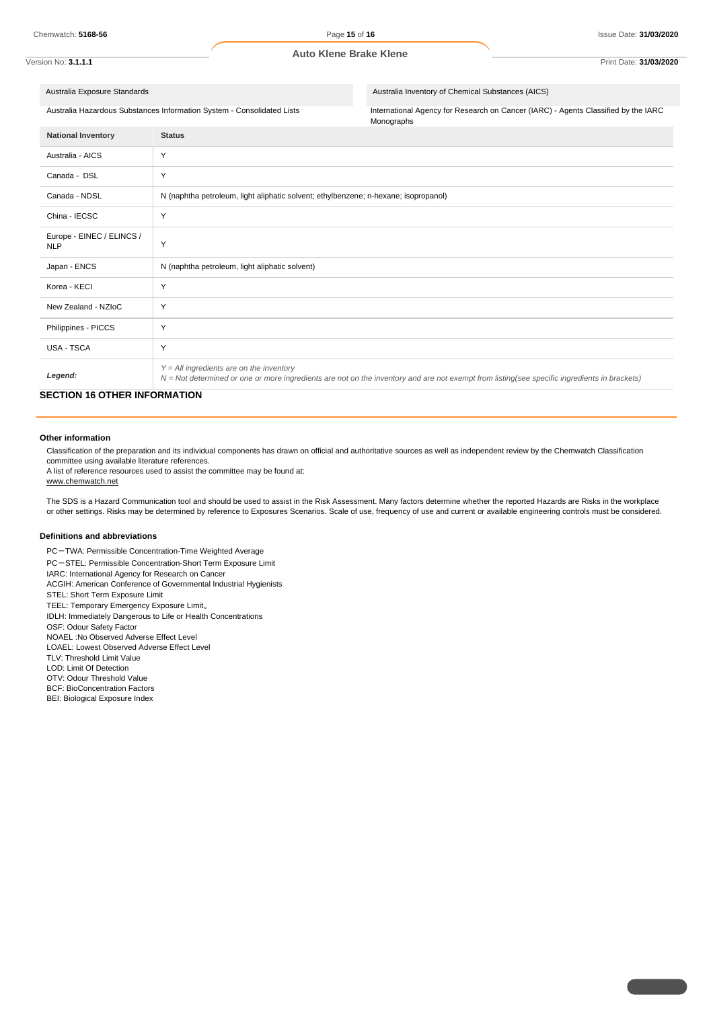## Version No: **3.1.1.1** Print Date: **31/03/2020**

Australia Exposure Standards Australia Inventory of Chemical Substances (AICS)

Australia Hazardous Substances Information System - Consolidated Lists International Agency for Research on Cancer (IARC) - Agents Classified by the IARC Monographs

| <b>National Inventory</b>               | <b>Status</b>                                                                                                                                                                              |
|-----------------------------------------|--------------------------------------------------------------------------------------------------------------------------------------------------------------------------------------------|
| Australia - AICS                        | Y                                                                                                                                                                                          |
| Canada - DSL                            | Y                                                                                                                                                                                          |
| Canada - NDSL                           | N (naphtha petroleum, light aliphatic solvent; ethylbenzene; n-hexane; isopropanol)                                                                                                        |
| China - IECSC                           | Y                                                                                                                                                                                          |
| Europe - EINEC / ELINCS /<br><b>NLP</b> | Y                                                                                                                                                                                          |
| Japan - ENCS                            | N (naphtha petroleum, light aliphatic solvent)                                                                                                                                             |
| Korea - KECI                            | Y                                                                                                                                                                                          |
| New Zealand - NZIoC                     | Y                                                                                                                                                                                          |
| Philippines - PICCS                     | Y                                                                                                                                                                                          |
| USA - TSCA                              | Y                                                                                                                                                                                          |
| Legend:                                 | $Y = All$ ingredients are on the inventory<br>N = Not determined or one or more ingredients are not on the inventory and are not exempt from listing(see specific ingredients in brackets) |

# **SECTION 16 OTHER INFORMATION**

### **Other information**

Classification of the preparation and its individual components has drawn on official and authoritative sources as well as independent review by the Chemwatch Classification committee using available literature references.

A list of reference resources used to assist the committee may be found at:

www.chemwatch.net

The SDS is a Hazard Communication tool and should be used to assist in the Risk Assessment. Many factors determine whether the reported Hazards are Risks in the workplace or other settings. Risks may be determined by reference to Exposures Scenarios. Scale of use, frequency of use and current or available engineering controls must be considered.

#### **Definitions and abbreviations**

PC-TWA: Permissible Concentration-Time Weighted Average

PC-STEL: Permissible Concentration-Short Term Exposure Limit

IARC: International Agency for Research on Cancer

ACGIH: American Conference of Governmental Industrial Hygienists

STEL: Short Term Exposure Limit

TEEL: Temporary Emergency Exposure Limit。

IDLH: Immediately Dangerous to Life or Health Concentrations

OSF: Odour Safety Factor

NOAEL :No Observed Adverse Effect Level

LOAEL: Lowest Observed Adverse Effect Level TLV: Threshold Limit Value

LOD: Limit Of Detection

OTV: Odour Threshold Value

BCF: BioConcentration Factors

BEI: Biological Exposure Index